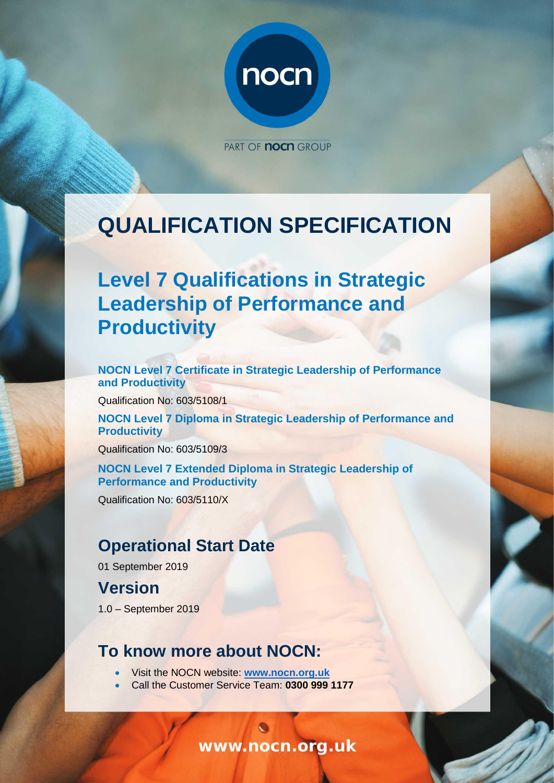

PART OF **NOCH** GROUP

# **QUALIFICATION SPECIFICATION**

# **Level 7 Qualifications in Strategic Leadership of Performance and Productivity**

**NOCN Level 7 Certificate in Strategic Leadership of Performance and Productivity**

Qualification No: 603/5108/1

**NOCN Level 7 Diploma in Strategic Leadership of Performance and Productivity**

Qualification No: 603/5109/3

**NOCN Level 7 Extended Diploma in Strategic Leadership of Performance and Productivity**

Qualification No: 603/5110/X

# **Operational Start Date**

01 September 2019

# **Version**

1.0 – September 2019

## **To know more about NOCN:**

- Visit the NOCN website: **[www.nocn.org.uk](http://www.nocn.org.uk/)**
- Call the Customer Service Team: **0300 999 1177**

www.nocn.org.uk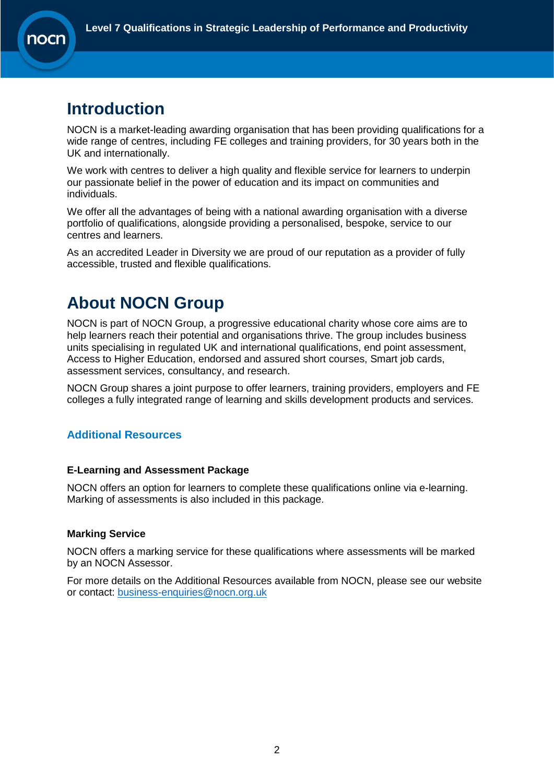# **Introduction**

NOCN is a market-leading awarding organisation that has been providing qualifications for a wide range of centres, including FE colleges and training providers, for 30 years both in the UK and internationally.

We work with centres to deliver a high quality and flexible service for learners to underpin our passionate belief in the power of education and its impact on communities and individuals.

We offer all the advantages of being with a national awarding organisation with a diverse portfolio of qualifications, alongside providing a personalised, bespoke, service to our centres and learners.

As an accredited Leader in Diversity we are proud of our reputation as a provider of fully accessible, trusted and flexible qualifications.

# **About NOCN Group**

NOCN is part of [NOCN Group,](https://www.nocn.org.uk/about/nocn-group/) a progressive educational charity whose core aims are to help learners reach their potential and organisations thrive. The group includes business units specialising in regulated UK and international qualifications, end point assessment, Access to Higher Education, endorsed and assured short courses, Smart job cards, assessment services, consultancy, and research.

NOCN Group shares a joint purpose to offer learners, training providers, employers and FE colleges a fully integrated range of learning and skills development products and services.

#### **Additional Resources**

#### **E-Learning and Assessment Package**

NOCN offers an option for learners to complete these qualifications online via e-learning. Marking of assessments is also included in this package.

#### **Marking Service**

NOCN offers a marking service for these qualifications where assessments will be marked by an NOCN Assessor.

For more details on the Additional Resources available from NOCN, please see our website or contact: [business-enquiries@nocn.org.uk](mailto:business-enquiries@nocn.org.uk)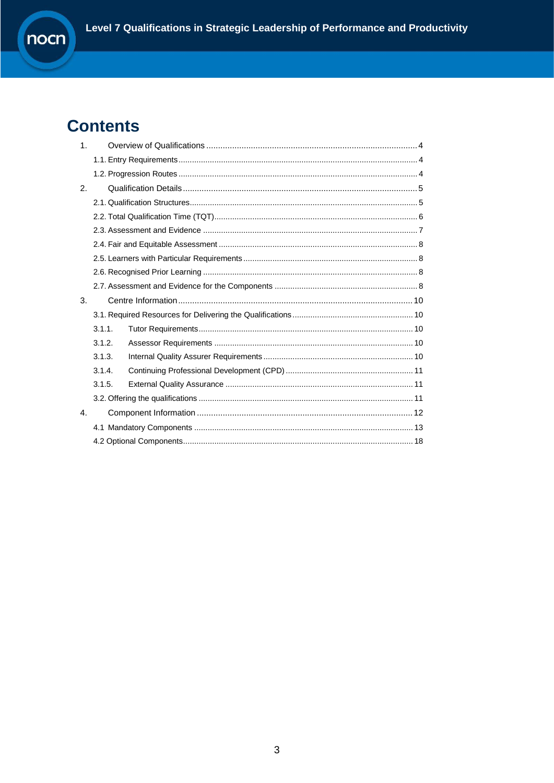# **Contents**

| 1 <sub>1</sub> |        |  |
|----------------|--------|--|
|                |        |  |
|                |        |  |
| 2 <sub>1</sub> |        |  |
|                |        |  |
|                |        |  |
|                |        |  |
|                |        |  |
|                |        |  |
|                |        |  |
|                |        |  |
| 3.             |        |  |
|                |        |  |
|                |        |  |
|                | 3.1.1. |  |
|                | 3.1.2. |  |
|                | 3.1.3. |  |
|                | 3.1.4. |  |
|                | 3.1.5. |  |
|                |        |  |
| 4.             |        |  |
|                |        |  |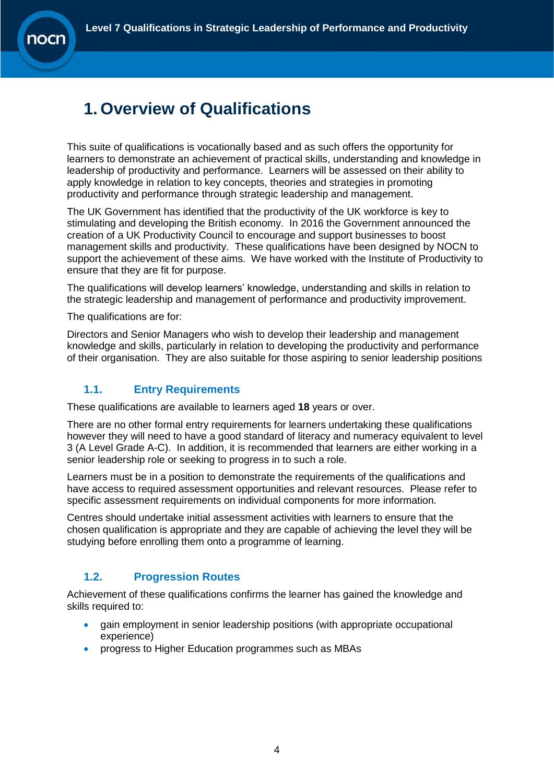

# <span id="page-3-0"></span>**1. Overview of Qualifications**

This suite of qualifications is vocationally based and as such offers the opportunity for learners to demonstrate an achievement of practical skills, understanding and knowledge in leadership of productivity and performance. Learners will be assessed on their ability to apply knowledge in relation to key concepts, theories and strategies in promoting productivity and performance through strategic leadership and management.

The UK Government has identified that the productivity of the UK workforce is key to stimulating and developing the British economy. In 2016 the Government announced the creation of a UK Productivity Council to encourage and support businesses to boost management skills and productivity. These qualifications have been designed by NOCN to support the achievement of these aims. We have worked with the Institute of Productivity to ensure that they are fit for purpose.

The qualifications will develop learners' knowledge, understanding and skills in relation to the strategic leadership and management of performance and productivity improvement.

The qualifications are for:

Directors and Senior Managers who wish to develop their leadership and management knowledge and skills, particularly in relation to developing the productivity and performance of their organisation. They are also suitable for those aspiring to senior leadership positions

### <span id="page-3-1"></span>**1.1. Entry Requirements**

These qualifications are available to learners aged **18** years or over.

There are no other formal entry requirements for learners undertaking these qualifications however they will need to have a good standard of literacy and numeracy equivalent to level 3 (A Level Grade A-C). In addition, it is recommended that learners are either working in a senior leadership role or seeking to progress in to such a role.

Learners must be in a position to demonstrate the requirements of the qualifications and have access to required assessment opportunities and relevant resources. Please refer to specific assessment requirements on individual components for more information.

Centres should undertake initial assessment activities with learners to ensure that the chosen qualification is appropriate and they are capable of achieving the level they will be studying before enrolling them onto a programme of learning.

### **1.2. Progression Routes**

<span id="page-3-2"></span>Achievement of these qualifications confirms the learner has gained the knowledge and skills required to:

- gain employment in senior leadership positions (with appropriate occupational experience)
- progress to Higher Education programmes such as MBAs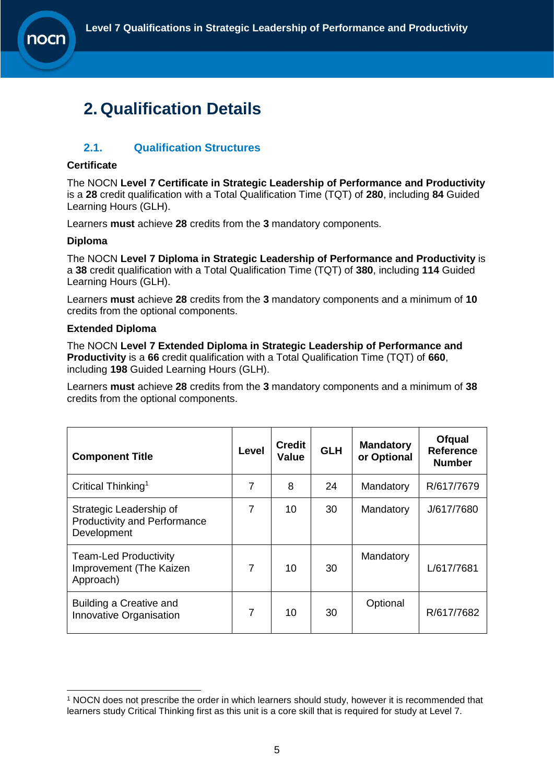

# <span id="page-4-0"></span>**2. Qualification Details**

#### <span id="page-4-1"></span>**2.1. Qualification Structures**

#### **Certificate**

The NOCN **Level 7 Certificate in Strategic Leadership of Performance and Productivity** is a **28** credit qualification with a Total Qualification Time (TQT) of **280**, including **84** Guided Learning Hours (GLH).

Learners **must** achieve **28** credits from the **3** mandatory components.

#### **Diploma**

The NOCN **Level 7 Diploma in Strategic Leadership of Performance and Productivity** is a **38** credit qualification with a Total Qualification Time (TQT) of **380**, including **114** Guided Learning Hours (GLH).

Learners **must** achieve **28** credits from the **3** mandatory components and a minimum of **10** credits from the optional components.

#### **Extended Diploma**

The NOCN **Level 7 Extended Diploma in Strategic Leadership of Performance and Productivity** is a **66** credit qualification with a Total Qualification Time (TQT) of **660**, including **198** Guided Learning Hours (GLH).

Learners **must** achieve **28** credits from the **3** mandatory components and a minimum of **38** credits from the optional components.

| <b>Component Title</b>                                                        | Level          | <b>Credit</b><br>Value | <b>GLH</b> | <b>Mandatory</b><br>or Optional | Ofqual<br><b>Reference</b><br><b>Number</b> |
|-------------------------------------------------------------------------------|----------------|------------------------|------------|---------------------------------|---------------------------------------------|
| Critical Thinking <sup>1</sup>                                                | 7              | 8                      | 24         | Mandatory                       | R/617/7679                                  |
| Strategic Leadership of<br><b>Productivity and Performance</b><br>Development | 7              | 10                     | 30         | Mandatory                       | J/617/7680                                  |
| <b>Team-Led Productivity</b><br>Improvement (The Kaizen<br>Approach)          | $\overline{7}$ | 10                     | 30         | Mandatory                       | L/617/7681                                  |
| Building a Creative and<br>Innovative Organisation                            | $\overline{7}$ | 10                     | 30         | Optional                        | R/617/7682                                  |

<sup>-</sup><sup>1</sup> NOCN does not prescribe the order in which learners should study, however it is recommended that learners study Critical Thinking first as this unit is a core skill that is required for study at Level 7.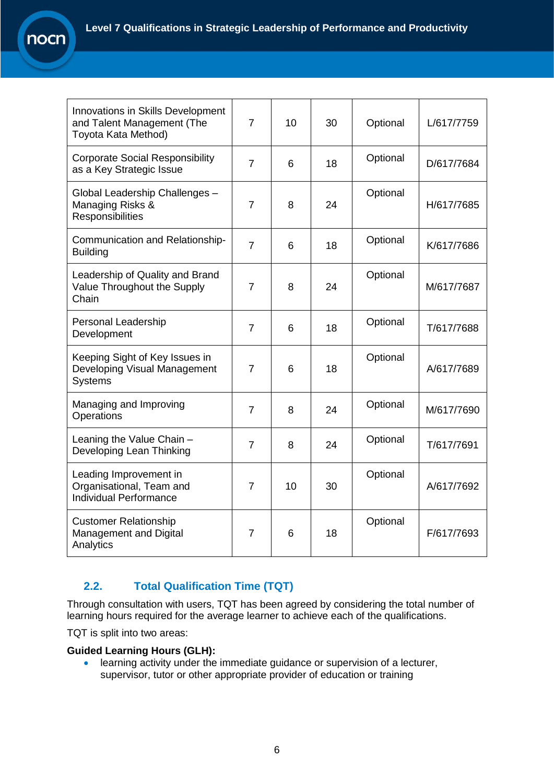| Innovations in Skills Development<br>and Talent Management (The<br>Toyota Kata Method) | 7              | 10 | 30 | Optional | L/617/7759 |
|----------------------------------------------------------------------------------------|----------------|----|----|----------|------------|
| <b>Corporate Social Responsibility</b><br>as a Key Strategic Issue                     | $\overline{7}$ | 6  | 18 | Optional | D/617/7684 |
| Global Leadership Challenges -<br>Managing Risks &<br>Responsibilities                 | $\overline{7}$ | 8  | 24 | Optional | H/617/7685 |
| Communication and Relationship-<br><b>Building</b>                                     | $\overline{7}$ | 6  | 18 | Optional | K/617/7686 |
| Leadership of Quality and Brand<br>Value Throughout the Supply<br>Chain                | 7              | 8  | 24 | Optional | M/617/7687 |
| Personal Leadership<br>Development                                                     | $\overline{7}$ | 6  | 18 | Optional | T/617/7688 |
| Keeping Sight of Key Issues in<br>Developing Visual Management<br><b>Systems</b>       | $\overline{7}$ | 6  | 18 | Optional | A/617/7689 |
| Managing and Improving<br>Operations                                                   | 7              | 8  | 24 | Optional | M/617/7690 |
| Leaning the Value Chain -<br>Developing Lean Thinking                                  | $\overline{7}$ | 8  | 24 | Optional | T/617/7691 |
| Leading Improvement in<br>Organisational, Team and<br><b>Individual Performance</b>    | $\overline{7}$ | 10 | 30 | Optional | A/617/7692 |
| <b>Customer Relationship</b><br>Management and Digital<br>Analytics                    | $\overline{7}$ | 6  | 18 | Optional | F/617/7693 |

### **2.2. Total Qualification Time (TQT)**

<span id="page-5-0"></span>Through consultation with users, TQT has been agreed by considering the total number of learning hours required for the average learner to achieve each of the qualifications.

TQT is split into two areas:

nocn

r

#### **Guided Learning Hours (GLH):**

• learning activity under the immediate guidance or supervision of a lecturer, supervisor, tutor or other appropriate provider of education or training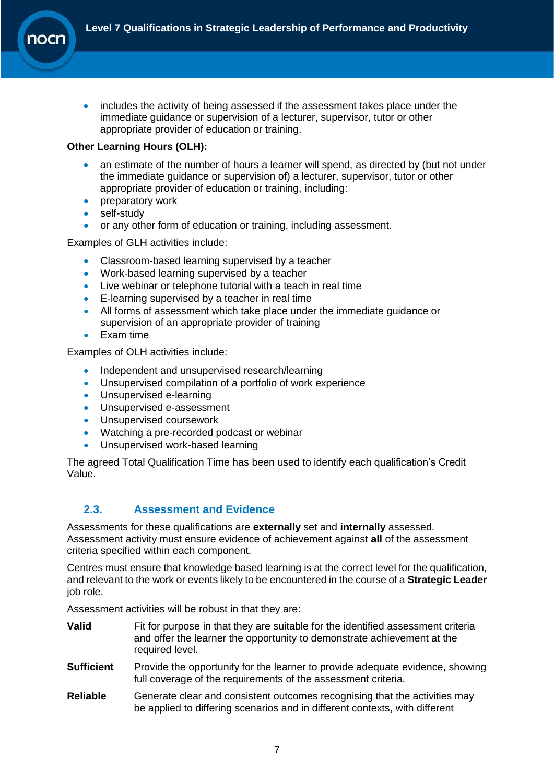• includes the activity of being assessed if the assessment takes place under the immediate guidance or supervision of a lecturer, supervisor, tutor or other appropriate provider of education or training.

#### **Other Learning Hours (OLH):**

- an estimate of the number of hours a learner will spend, as directed by (but not under the immediate guidance or supervision of) a lecturer, supervisor, tutor or other appropriate provider of education or training, including:
- **preparatory work**
- self-study
- or any other form of education or training, including assessment.

Examples of GLH activities include:

- Classroom-based learning supervised by a teacher
- Work-based learning supervised by a teacher
- Live webinar or telephone tutorial with a teach in real time
- E-learning supervised by a teacher in real time
- All forms of assessment which take place under the immediate guidance or supervision of an appropriate provider of training
- Exam time

Examples of OLH activities include:

- Independent and unsupervised research/learning
- Unsupervised compilation of a portfolio of work experience
- Unsupervised e-learning
- Unsupervised e-assessment
- Unsupervised coursework
- Watching a pre-recorded podcast or webinar
- Unsupervised work-based learning

The agreed Total Qualification Time has been used to identify each qualification's Credit Value.

#### <span id="page-6-0"></span>**2.3. Assessment and Evidence**

Assessments for these qualifications are **externally** set and **internally** assessed. Assessment activity must ensure evidence of achievement against **all** of the assessment criteria specified within each component.

Centres must ensure that knowledge based learning is at the correct level for the qualification, and relevant to the work or events likely to be encountered in the course of a **Strategic Leader** job role.

Assessment activities will be robust in that they are:

- **Valid** Fit for purpose in that they are suitable for the identified assessment criteria and offer the learner the opportunity to demonstrate achievement at the required level.
- **Sufficient** Provide the opportunity for the learner to provide adequate evidence, showing full coverage of the requirements of the assessment criteria.
- **Reliable** Generate clear and consistent outcomes recognising that the activities may be applied to differing scenarios and in different contexts, with different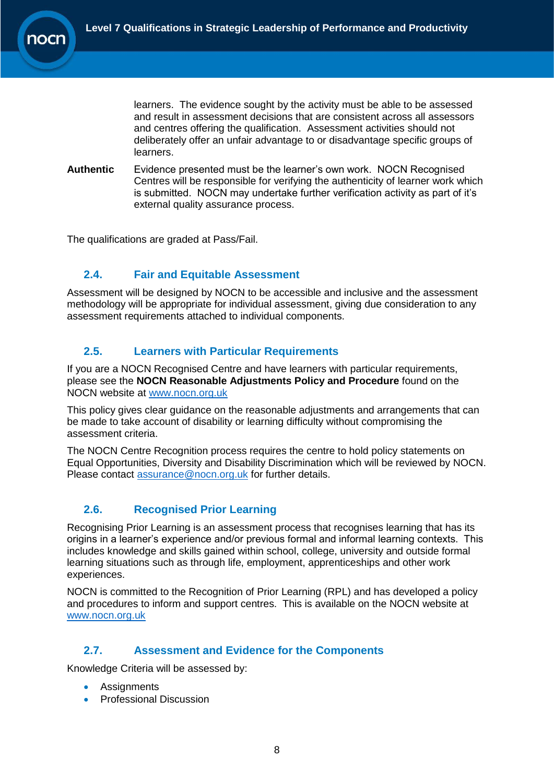learners. The evidence sought by the activity must be able to be assessed and result in assessment decisions that are consistent across all assessors and centres offering the qualification. Assessment activities should not deliberately offer an unfair advantage to or disadvantage specific groups of learners.

**Authentic** Evidence presented must be the learner's own work. NOCN Recognised Centres will be responsible for verifying the authenticity of learner work which is submitted. NOCN may undertake further verification activity as part of it's external quality assurance process.

The qualifications are graded at Pass/Fail.

### <span id="page-7-0"></span>**2.4. Fair and Equitable Assessment**

Assessment will be designed by NOCN to be accessible and inclusive and the assessment methodology will be appropriate for individual assessment, giving due consideration to any assessment requirements attached to individual components.

#### <span id="page-7-1"></span>**2.5. Learners with Particular Requirements**

If you are a NOCN Recognised Centre and have learners with particular requirements, please see the **NOCN Reasonable Adjustments Policy and Procedure** found on the NOCN website at [www.nocn.org.uk](http://www.nocn.org.uk/)

This policy gives clear guidance on the reasonable adjustments and arrangements that can be made to take account of disability or learning difficulty without compromising the assessment criteria.

The NOCN Centre Recognition process requires the centre to hold policy statements on Equal Opportunities, Diversity and Disability Discrimination which will be reviewed by NOCN. Please contact [assurance@nocn.org.uk](mailto:assurance@nocn.org.uk) for further details.

#### <span id="page-7-2"></span>**2.6. Recognised Prior Learning**

Recognising Prior Learning is an assessment process that recognises learning that has its origins in a learner's experience and/or previous formal and informal learning contexts. This includes knowledge and skills gained within school, college, university and outside formal learning situations such as through life, employment, apprenticeships and other work experiences.

NOCN is committed to the Recognition of Prior Learning (RPL) and has developed a policy and procedures to inform and support centres. This is available on the NOCN website at [www.nocn.org.uk](http://www.nocn.org.uk/)

### <span id="page-7-3"></span>**2.7. Assessment and Evidence for the Components**

Knowledge Criteria will be assessed by:

- Assignments
- Professional Discussion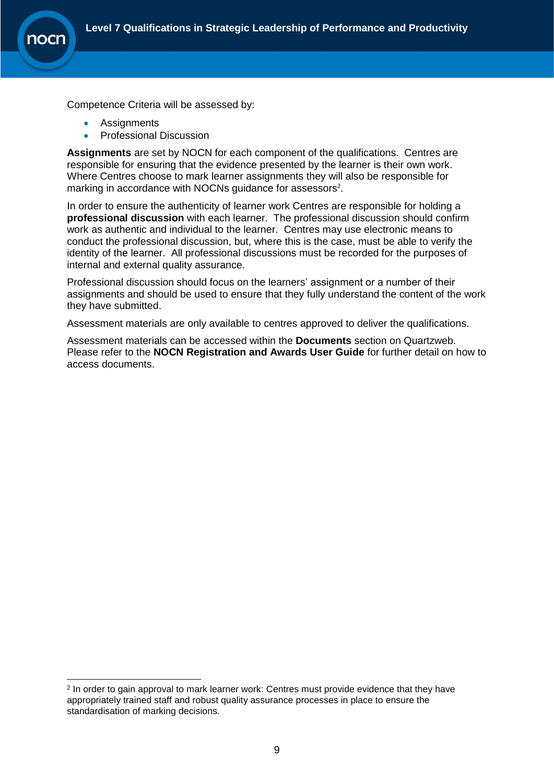

-

Competence Criteria will be assessed by:

- **Assignments**
- Professional Discussion

**Assignments** are set by NOCN for each component of the qualifications. Centres are responsible for ensuring that the evidence presented by the learner is their own work. Where Centres choose to mark learner assignments they will also be responsible for marking in accordance with NOCNs guidance for assessors<sup>2</sup>.

In order to ensure the authenticity of learner work Centres are responsible for holding a **professional discussion** with each learner. The professional discussion should confirm work as authentic and individual to the learner. Centres may use electronic means to conduct the professional discussion, but, where this is the case, must be able to verify the identity of the learner. All professional discussions must be recorded for the purposes of internal and external quality assurance.

Professional discussion should focus on the learners' assignment or a number of their assignments and should be used to ensure that they fully understand the content of the work they have submitted.

Assessment materials are only available to centres approved to deliver the qualifications.

Assessment materials can be accessed within the **Documents** section on Quartzweb. Please refer to the **NOCN Registration and Awards User Guide** for further detail on how to access documents.

<sup>&</sup>lt;sup>2</sup> In order to gain approval to mark learner work: Centres must provide evidence that they have appropriately trained staff and robust quality assurance processes in place to ensure the standardisation of marking decisions.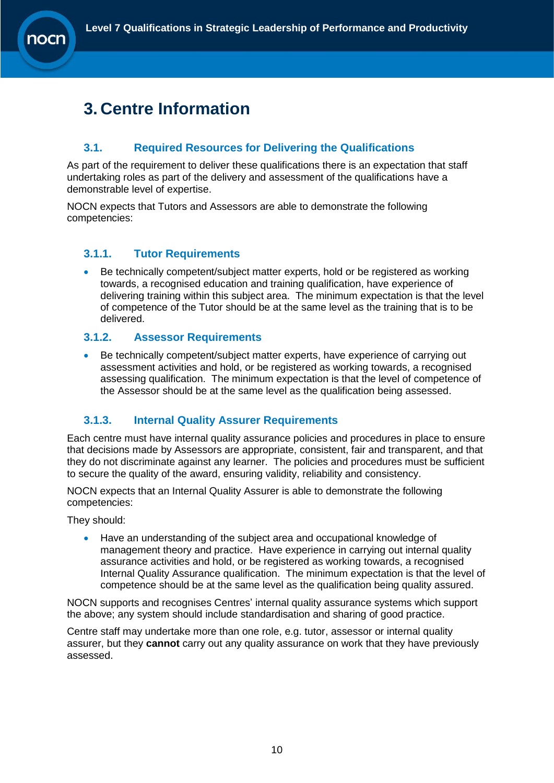# <span id="page-9-0"></span>**3. Centre Information**

### <span id="page-9-1"></span>**3.1. Required Resources for Delivering the Qualifications**

As part of the requirement to deliver these qualifications there is an expectation that staff undertaking roles as part of the delivery and assessment of the qualifications have a demonstrable level of expertise.

NOCN expects that Tutors and Assessors are able to demonstrate the following competencies:

#### <span id="page-9-2"></span>**3.1.1. Tutor Requirements**

• Be technically competent/subject matter experts, hold or be registered as working towards, a recognised education and training qualification, have experience of delivering training within this subject area. The minimum expectation is that the level of competence of the Tutor should be at the same level as the training that is to be delivered.

#### <span id="page-9-3"></span>**3.1.2. Assessor Requirements**

• Be technically competent/subject matter experts, have experience of carrying out assessment activities and hold, or be registered as working towards, a recognised assessing qualification. The minimum expectation is that the level of competence of the Assessor should be at the same level as the qualification being assessed.

#### **3.1.3. Internal Quality Assurer Requirements**

<span id="page-9-4"></span>Each centre must have internal quality assurance policies and procedures in place to ensure that decisions made by Assessors are appropriate, consistent, fair and transparent, and that they do not discriminate against any learner. The policies and procedures must be sufficient to secure the quality of the award, ensuring validity, reliability and consistency.

NOCN expects that an Internal Quality Assurer is able to demonstrate the following competencies:

They should:

• Have an understanding of the subject area and occupational knowledge of management theory and practice. Have experience in carrying out internal quality assurance activities and hold, or be registered as working towards, a recognised Internal Quality Assurance qualification. The minimum expectation is that the level of competence should be at the same level as the qualification being quality assured.

NOCN supports and recognises Centres' internal quality assurance systems which support the above; any system should include standardisation and sharing of good practice.

Centre staff may undertake more than one role, e.g. tutor, assessor or internal quality assurer, but they **cannot** carry out any quality assurance on work that they have previously assessed.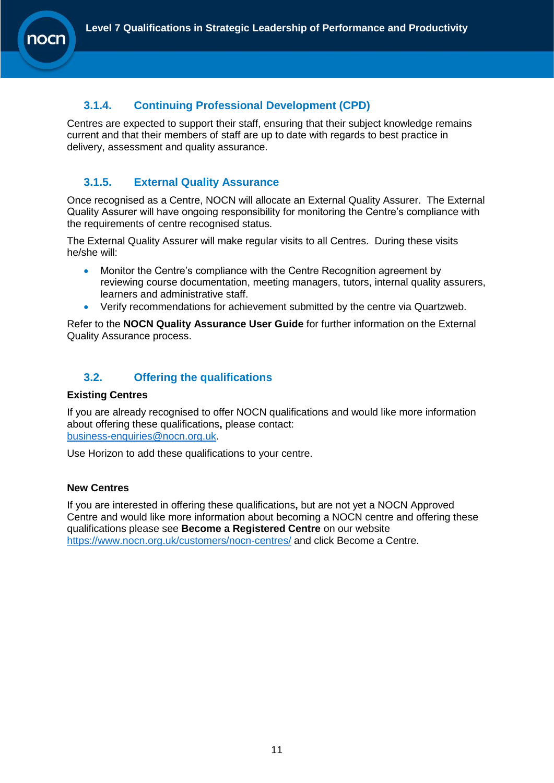### <span id="page-10-0"></span>**3.1.4. Continuing Professional Development (CPD)**

Centres are expected to support their staff, ensuring that their subject knowledge remains current and that their members of staff are up to date with regards to best practice in delivery, assessment and quality assurance.

### <span id="page-10-1"></span>**3.1.5. External Quality Assurance**

Once recognised as a Centre, NOCN will allocate an External Quality Assurer. The External Quality Assurer will have ongoing responsibility for monitoring the Centre's compliance with the requirements of centre recognised status.

The External Quality Assurer will make regular visits to all Centres. During these visits he/she will:

- Monitor the Centre's compliance with the Centre Recognition agreement by reviewing course documentation, meeting managers, tutors, internal quality assurers, learners and administrative staff.
- Verify recommendations for achievement submitted by the centre via Quartzweb.

Refer to the **NOCN Quality Assurance User Guide** for further information on the External Quality Assurance process.

### <span id="page-10-2"></span>**3.2. Offering the qualifications**

#### **Existing Centres**

If you are already recognised to offer NOCN qualifications and would like more information about offering these qualifications**,** please contact: [business-enquiries@nocn.org.uk.](mailto:business-enquiries@nocn.org.uk)

Use Horizon to add these qualifications to your centre.

#### **New Centres**

If you are interested in offering these qualifications**,** but are not yet a NOCN Approved Centre and would like more information about becoming a NOCN centre and offering these qualifications please see **Become a Registered Centre** on our website <https://www.nocn.org.uk/customers/nocn-centres/> and click Become a Centre.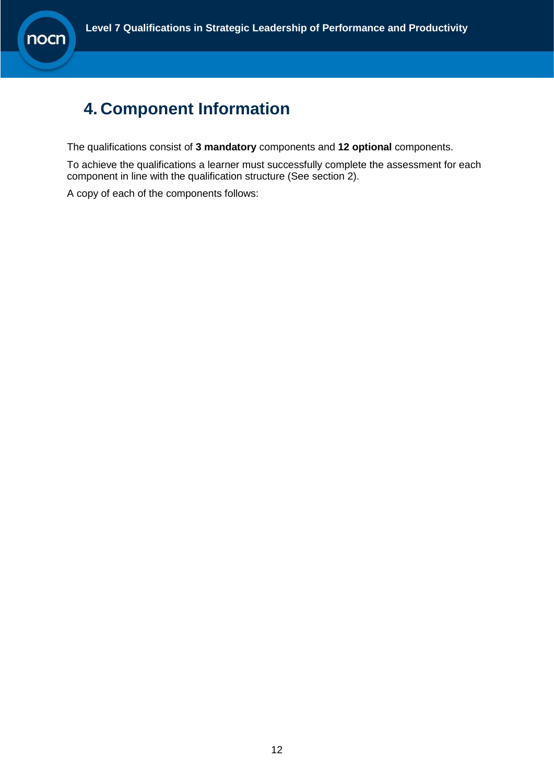# <span id="page-11-0"></span>**4. Component Information**

The qualifications consist of **3 mandatory** components and **12 optional** components.

To achieve the qualifications a learner must successfully complete the assessment for each component in line with the qualification structure (See section 2).

A copy of each of the components follows: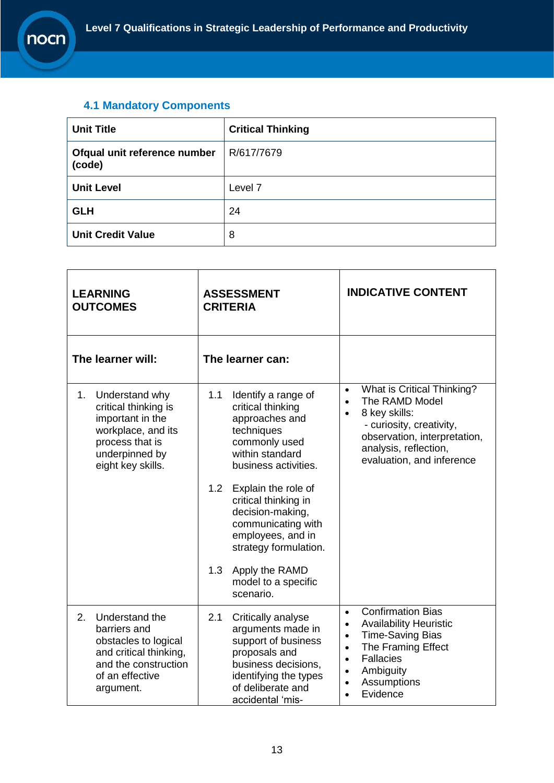### <span id="page-12-0"></span>**4.1 Mandatory Components**

| <b>Unit Title</b>                      | <b>Critical Thinking</b> |
|----------------------------------------|--------------------------|
| Ofqual unit reference number<br>(code) | R/617/7679               |
| <b>Unit Level</b>                      | Level 7                  |
| <b>GLH</b>                             | 24                       |
| <b>Unit Credit Value</b>               | 8                        |

| <b>LEARNING</b><br><b>OUTCOMES</b>                                                                                                               | <b>ASSESSMENT</b><br><b>CRITERIA</b>                                                                                                                                                                           | <b>INDICATIVE CONTENT</b>                                                                                                                                                                                                                                                      |  |
|--------------------------------------------------------------------------------------------------------------------------------------------------|----------------------------------------------------------------------------------------------------------------------------------------------------------------------------------------------------------------|--------------------------------------------------------------------------------------------------------------------------------------------------------------------------------------------------------------------------------------------------------------------------------|--|
| The learner will:                                                                                                                                | The learner can:                                                                                                                                                                                               |                                                                                                                                                                                                                                                                                |  |
| 1.<br>Understand why<br>critical thinking is<br>important in the<br>workplace, and its<br>process that is<br>underpinned by<br>eight key skills. | 1.1<br>Identify a range of<br>critical thinking<br>approaches and<br>techniques<br>commonly used<br>within standard<br>business activities.<br>1.2 <sub>2</sub><br>Explain the role of<br>critical thinking in | What is Critical Thinking?<br>$\bullet$<br>The RAMD Model<br>$\bullet$<br>8 key skills:<br>$\bullet$<br>- curiosity, creativity,<br>observation, interpretation,<br>analysis, reflection,<br>evaluation, and inference                                                         |  |
|                                                                                                                                                  | decision-making,<br>communicating with<br>employees, and in<br>strategy formulation.                                                                                                                           |                                                                                                                                                                                                                                                                                |  |
|                                                                                                                                                  | Apply the RAMD<br>1.3<br>model to a specific<br>scenario.                                                                                                                                                      |                                                                                                                                                                                                                                                                                |  |
| Understand the<br>2.<br>barriers and<br>obstacles to logical<br>and critical thinking,<br>and the construction<br>of an effective<br>argument.   | 2.1<br>Critically analyse<br>arguments made in<br>support of business<br>proposals and<br>business decisions,<br>identifying the types<br>of deliberate and<br>accidental 'mis-                                | <b>Confirmation Bias</b><br>$\bullet$<br><b>Availability Heuristic</b><br>$\bullet$<br><b>Time-Saving Bias</b><br>$\bullet$<br>The Framing Effect<br>$\bullet$<br><b>Fallacies</b><br>$\bullet$<br>Ambiguity<br>$\bullet$<br>Assumptions<br>$\bullet$<br>Evidence<br>$\bullet$ |  |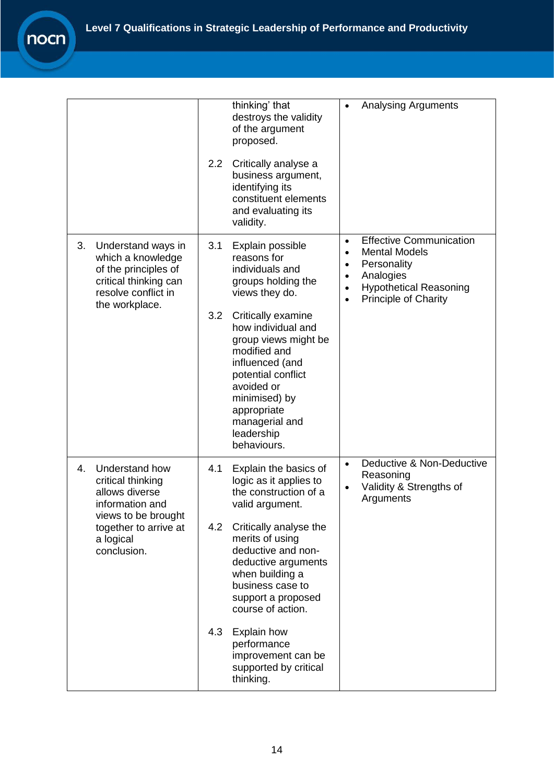|                                                                                                                                                            | thinking' that<br>destroys the validity<br>of the argument<br>proposed.<br>2.2<br>Critically analyse a<br>business argument,<br>identifying its<br>constituent elements<br>and evaluating its<br>validity.                                                                                                                                                                             | <b>Analysing Arguments</b>                                                                                                                                                                                                       |
|------------------------------------------------------------------------------------------------------------------------------------------------------------|----------------------------------------------------------------------------------------------------------------------------------------------------------------------------------------------------------------------------------------------------------------------------------------------------------------------------------------------------------------------------------------|----------------------------------------------------------------------------------------------------------------------------------------------------------------------------------------------------------------------------------|
| Understand ways in<br>3.<br>which a knowledge<br>of the principles of<br>critical thinking can<br>resolve conflict in<br>the workplace.                    | 3.1<br>Explain possible<br>reasons for<br>individuals and<br>groups holding the<br>views they do.<br>3.2<br>Critically examine<br>how individual and<br>group views might be<br>modified and<br>influenced (and<br>potential conflict<br>avoided or<br>minimised) by<br>appropriate<br>managerial and<br>leadership<br>behaviours.                                                     | <b>Effective Communication</b><br>$\bullet$<br><b>Mental Models</b><br>$\bullet$<br>Personality<br>$\bullet$<br>Analogies<br>$\bullet$<br><b>Hypothetical Reasoning</b><br>$\bullet$<br><b>Principle of Charity</b><br>$\bullet$ |
| Understand how<br>4.<br>critical thinking<br>allows diverse<br>information and<br>views to be brought<br>together to arrive at<br>a logical<br>conclusion. | 4.1<br>Explain the basics of<br>logic as it applies to<br>the construction of a<br>valid argument.<br>Critically analyse the<br>4.2<br>merits of using<br>deductive and non-<br>deductive arguments<br>when building a<br>business case to<br>support a proposed<br>course of action.<br>4.3<br>Explain how<br>performance<br>improvement can be<br>supported by critical<br>thinking. | Deductive & Non-Deductive<br>$\bullet$<br>Reasoning<br>Validity & Strengths of<br>$\bullet$<br>Arguments                                                                                                                         |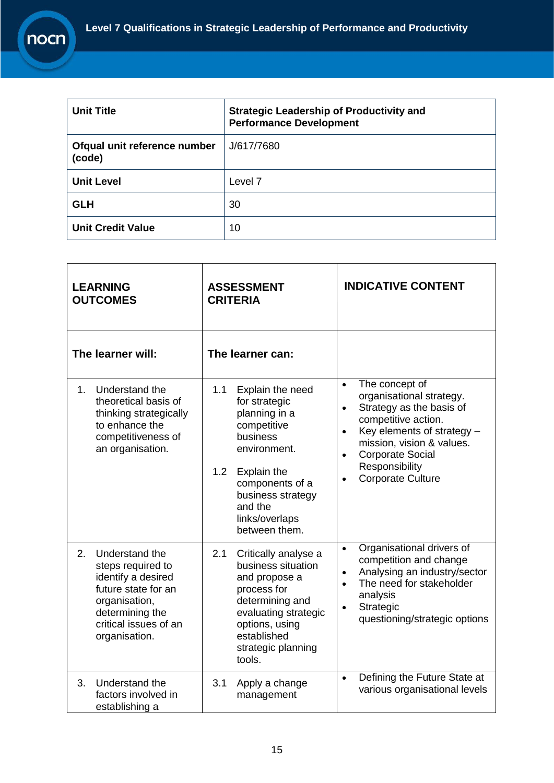r

| <b>Unit Title</b>                      | <b>Strategic Leadership of Productivity and</b><br><b>Performance Development</b> |  |  |
|----------------------------------------|-----------------------------------------------------------------------------------|--|--|
| Ofqual unit reference number<br>(code) | J/617/7680                                                                        |  |  |
| <b>Unit Level</b>                      | Level <sub>7</sub>                                                                |  |  |
| <b>GLH</b>                             | 30                                                                                |  |  |
| <b>Unit Credit Value</b>               | 10                                                                                |  |  |

| <b>LEARNING</b><br><b>OUTCOMES</b>                                                                                                                                   | <b>ASSESSMENT</b><br><b>CRITERIA</b>                                                                                                                                                                                          | <b>INDICATIVE CONTENT</b>                                                                                                                                                                                                                                                             |
|----------------------------------------------------------------------------------------------------------------------------------------------------------------------|-------------------------------------------------------------------------------------------------------------------------------------------------------------------------------------------------------------------------------|---------------------------------------------------------------------------------------------------------------------------------------------------------------------------------------------------------------------------------------------------------------------------------------|
| The learner will:                                                                                                                                                    | The learner can:                                                                                                                                                                                                              |                                                                                                                                                                                                                                                                                       |
| Understand the<br>1 <sub>1</sub><br>theoretical basis of<br>thinking strategically<br>to enhance the<br>competitiveness of<br>an organisation.                       | 1.1<br>Explain the need<br>for strategic<br>planning in a<br>competitive<br>business<br>environment.<br>1.2 <sub>1</sub><br>Explain the<br>components of a<br>business strategy<br>and the<br>links/overlaps<br>between them. | The concept of<br>$\bullet$<br>organisational strategy.<br>Strategy as the basis of<br>$\bullet$<br>competitive action.<br>Key elements of strategy -<br>$\bullet$<br>mission, vision & values.<br><b>Corporate Social</b><br>$\bullet$<br>Responsibility<br><b>Corporate Culture</b> |
| 2.<br>Understand the<br>steps required to<br>identify a desired<br>future state for an<br>organisation,<br>determining the<br>critical issues of an<br>organisation. | 2.1<br>Critically analyse a<br>business situation<br>and propose a<br>process for<br>determining and<br>evaluating strategic<br>options, using<br>established<br>strategic planning<br>tools.                                 | Organisational drivers of<br>$\bullet$<br>competition and change<br>Analysing an industry/sector<br>$\bullet$<br>The need for stakeholder<br>$\bullet$<br>analysis<br>Strategic<br>$\bullet$<br>questioning/strategic options                                                         |
| Understand the<br>3.<br>factors involved in<br>establishing a                                                                                                        | 3.1<br>Apply a change<br>management                                                                                                                                                                                           | Defining the Future State at<br>$\bullet$<br>various organisational levels                                                                                                                                                                                                            |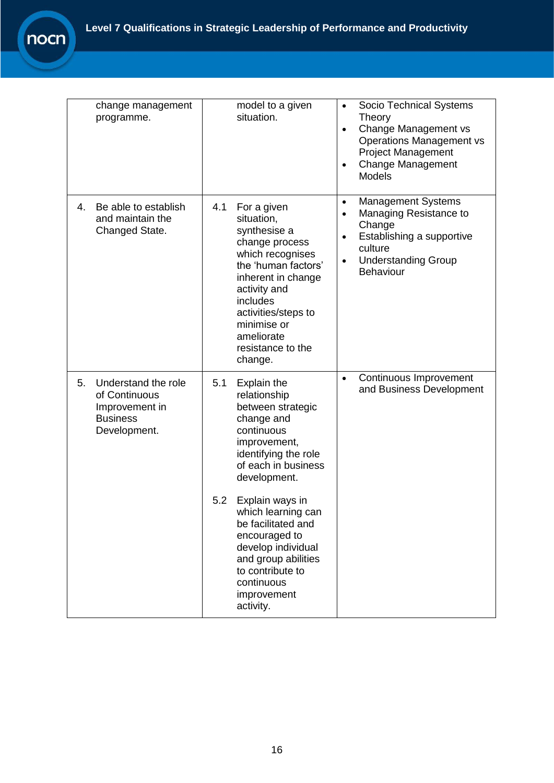| change management<br>programme.                                                                 | model to a given<br>situation.                                                                                                                                                                                                                      | Socio Technical Systems<br>$\bullet$<br>Theory<br>Change Management vs<br>$\bullet$<br><b>Operations Management vs</b><br><b>Project Management</b><br><b>Change Management</b><br>$\bullet$<br><b>Models</b> |
|-------------------------------------------------------------------------------------------------|-----------------------------------------------------------------------------------------------------------------------------------------------------------------------------------------------------------------------------------------------------|---------------------------------------------------------------------------------------------------------------------------------------------------------------------------------------------------------------|
| Be able to establish<br>4.<br>and maintain the<br>Changed State.                                | 4.1<br>For a given<br>situation,<br>synthesise a<br>change process<br>which recognises<br>the 'human factors'<br>inherent in change<br>activity and<br>includes<br>activities/steps to<br>minimise or<br>ameliorate<br>resistance to the<br>change. | <b>Management Systems</b><br>$\bullet$<br>Managing Resistance to<br>$\bullet$<br>Change<br>Establishing a supportive<br>$\bullet$<br>culture<br><b>Understanding Group</b><br>$\bullet$<br>Behaviour          |
| 5.<br>Understand the role<br>of Continuous<br>Improvement in<br><b>Business</b><br>Development. | 5.1<br>Explain the<br>relationship<br>between strategic<br>change and<br>continuous<br>improvement,<br>identifying the role<br>of each in business<br>development.                                                                                  | Continuous Improvement<br>$\bullet$<br>and Business Development                                                                                                                                               |
|                                                                                                 | 5.2<br>Explain ways in<br>which learning can<br>be facilitated and<br>encouraged to<br>develop individual<br>and group abilities<br>to contribute to<br>continuous<br>improvement<br>activity.                                                      |                                                                                                                                                                                                               |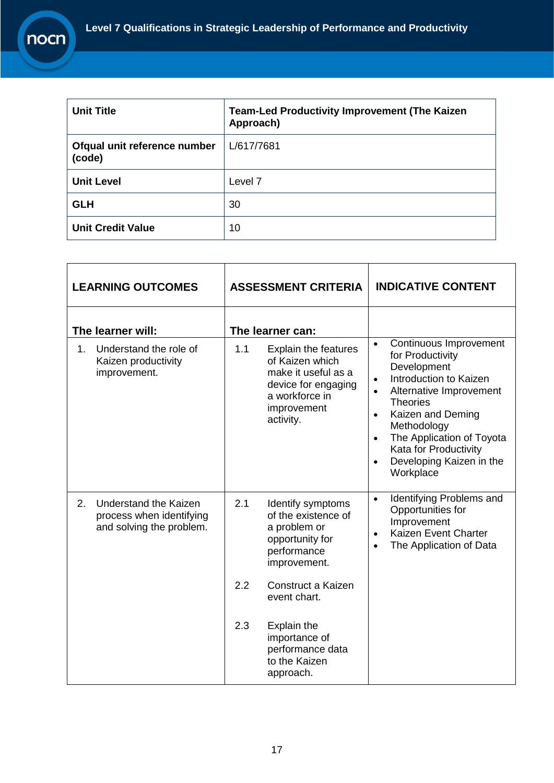r

| <b>Unit Title</b>                      | <b>Team-Led Productivity Improvement (The Kaizen</b><br>Approach) |
|----------------------------------------|-------------------------------------------------------------------|
| Ofqual unit reference number<br>(code) | L/617/7681                                                        |
| <b>Unit Level</b>                      | Level 7                                                           |
| <b>GLH</b>                             | 30                                                                |
| <b>Unit Credit Value</b>               | 10                                                                |

|                   | <b>LEARNING OUTCOMES</b>                                                             | <b>ASSESSMENT CRITERIA</b> |                                                                                                                                            | <b>INDICATIVE CONTENT</b>                                                                                                                                                                                                                                                                                                             |
|-------------------|--------------------------------------------------------------------------------------|----------------------------|--------------------------------------------------------------------------------------------------------------------------------------------|---------------------------------------------------------------------------------------------------------------------------------------------------------------------------------------------------------------------------------------------------------------------------------------------------------------------------------------|
| The learner will: |                                                                                      |                            | The learner can:                                                                                                                           |                                                                                                                                                                                                                                                                                                                                       |
| 1.                | Understand the role of<br>Kaizen productivity<br>improvement.                        | 1.1                        | <b>Explain the features</b><br>of Kaizen which<br>make it useful as a<br>device for engaging<br>a workforce in<br>improvement<br>activity. | Continuous Improvement<br>$\bullet$<br>for Productivity<br>Development<br>Introduction to Kaizen<br>$\bullet$<br>Alternative Improvement<br><b>Theories</b><br>Kaizen and Deming<br>$\bullet$<br>Methodology<br>The Application of Toyota<br>$\bullet$<br>Kata for Productivity<br>Developing Kaizen in the<br>$\bullet$<br>Workplace |
| 2.                | <b>Understand the Kaizen</b><br>process when identifying<br>and solving the problem. | 2.1                        | Identify symptoms<br>of the existence of<br>a problem or<br>opportunity for<br>performance<br>improvement.                                 | Identifying Problems and<br>$\bullet$<br>Opportunities for<br>Improvement<br>Kaizen Event Charter<br>$\bullet$<br>The Application of Data<br>$\bullet$                                                                                                                                                                                |
|                   |                                                                                      | 2.2                        | Construct a Kaizen<br>event chart.                                                                                                         |                                                                                                                                                                                                                                                                                                                                       |
|                   |                                                                                      | 2.3                        | Explain the<br>importance of<br>performance data<br>to the Kaizen<br>approach.                                                             |                                                                                                                                                                                                                                                                                                                                       |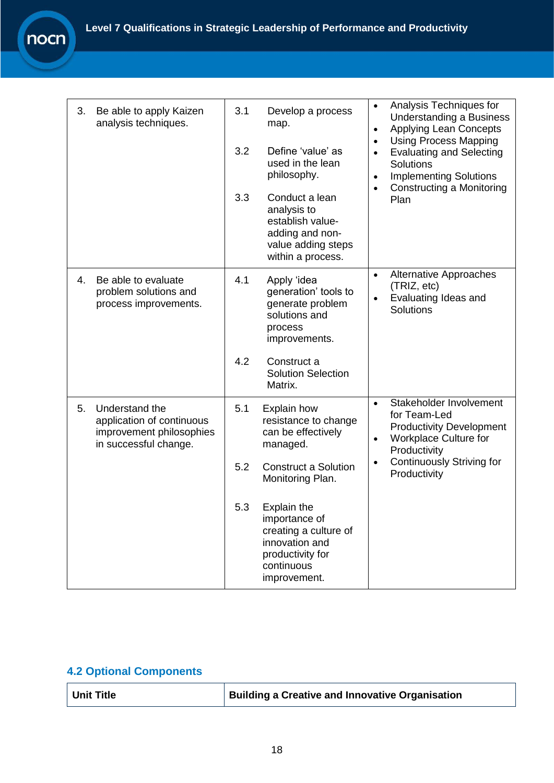| 3. | Be able to apply Kaizen<br>analysis techniques.                                                  | 3.1 | Develop a process<br>map.                                                                                                 | Analysis Techniques for<br>$\bullet$<br><b>Understanding a Business</b><br><b>Applying Lean Concepts</b><br>$\bullet$<br><b>Using Process Mapping</b><br>$\bullet$ |
|----|--------------------------------------------------------------------------------------------------|-----|---------------------------------------------------------------------------------------------------------------------------|--------------------------------------------------------------------------------------------------------------------------------------------------------------------|
|    |                                                                                                  | 3.2 | Define 'value' as<br>used in the lean<br>philosophy.                                                                      | <b>Evaluating and Selecting</b><br>$\bullet$<br>Solutions<br><b>Implementing Solutions</b><br>$\bullet$                                                            |
|    |                                                                                                  | 3.3 | Conduct a lean<br>analysis to<br>establish value-<br>adding and non-<br>value adding steps<br>within a process.           | Constructing a Monitoring<br>$\bullet$<br>Plan                                                                                                                     |
| 4. | Be able to evaluate<br>problem solutions and<br>process improvements.                            | 4.1 | Apply 'idea<br>generation' tools to<br>generate problem<br>solutions and<br>process<br>improvements.                      | <b>Alternative Approaches</b><br>$\bullet$<br>(TRIZ, etc)<br>Evaluating Ideas and<br>$\bullet$<br>Solutions                                                        |
|    |                                                                                                  | 4.2 | Construct a<br><b>Solution Selection</b><br>Matrix.                                                                       |                                                                                                                                                                    |
| 5. | Understand the<br>application of continuous<br>improvement philosophies<br>in successful change. | 5.1 | <b>Explain how</b><br>resistance to change<br>can be effectively<br>managed.                                              | Stakeholder Involvement<br>$\bullet$<br>for Team-Led<br><b>Productivity Development</b><br>Workplace Culture for<br>$\bullet$<br>Productivity                      |
|    |                                                                                                  | 5.2 | <b>Construct a Solution</b><br>Monitoring Plan.                                                                           | <b>Continuously Striving for</b><br>$\bullet$<br>Productivity                                                                                                      |
|    |                                                                                                  | 5.3 | Explain the<br>importance of<br>creating a culture of<br>innovation and<br>productivity for<br>continuous<br>improvement. |                                                                                                                                                                    |

### <span id="page-17-0"></span>**4.2 Optional Components**

| Unit Title | <b>Building a Creative and Innovative Organisation</b> |
|------------|--------------------------------------------------------|
|------------|--------------------------------------------------------|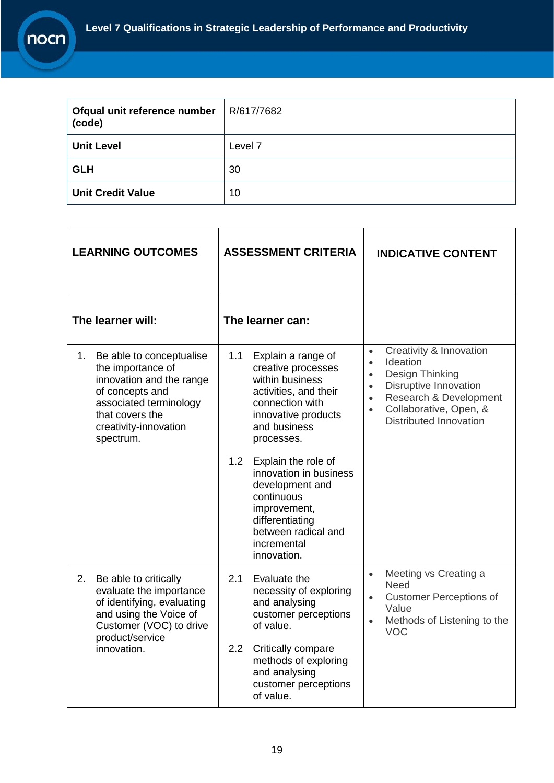

| Ofqual unit reference number<br>(code) | R/617/7682         |
|----------------------------------------|--------------------|
| <b>Unit Level</b>                      | Level <sub>7</sub> |
| <b>GLH</b>                             | 30                 |
| <b>Unit Credit Value</b>               | 10                 |

| <b>LEARNING OUTCOMES</b>                                                                                                                                                              | <b>ASSESSMENT CRITERIA</b>                                                                                                                                                 | <b>INDICATIVE CONTENT</b>                                                                                                                                                                                                                          |  |
|---------------------------------------------------------------------------------------------------------------------------------------------------------------------------------------|----------------------------------------------------------------------------------------------------------------------------------------------------------------------------|----------------------------------------------------------------------------------------------------------------------------------------------------------------------------------------------------------------------------------------------------|--|
| The learner will:                                                                                                                                                                     | The learner can:                                                                                                                                                           |                                                                                                                                                                                                                                                    |  |
| Be able to conceptualise<br>1.<br>the importance of<br>innovation and the range<br>of concepts and<br>associated terminology<br>that covers the<br>creativity-innovation<br>spectrum. | 1.1<br>Explain a range of<br>creative processes<br>within business<br>activities, and their<br>connection with<br>innovative products<br>and business<br>processes.<br>1.2 | Creativity & Innovation<br>$\bullet$<br>Ideation<br>$\bullet$<br>Design Thinking<br>$\bullet$<br><b>Disruptive Innovation</b><br>$\bullet$<br>Research & Development<br>$\bullet$<br>Collaborative, Open, &<br>$\bullet$<br>Distributed Innovation |  |
|                                                                                                                                                                                       | Explain the role of<br>innovation in business<br>development and<br>continuous<br>improvement,<br>differentiating<br>between radical and<br>incremental<br>innovation.     |                                                                                                                                                                                                                                                    |  |
| 2.<br>Be able to critically<br>evaluate the importance<br>of identifying, evaluating<br>and using the Voice of<br>Customer (VOC) to drive<br>product/service                          | 2.1<br>Evaluate the<br>necessity of exploring<br>and analysing<br>customer perceptions<br>of value.                                                                        | Meeting vs Creating a<br>$\bullet$<br>Need<br><b>Customer Perceptions of</b><br>$\bullet$<br>Value<br>Methods of Listening to the<br>$\bullet$<br>VOC                                                                                              |  |
| innovation.                                                                                                                                                                           | Critically compare<br>2.2<br>methods of exploring<br>and analysing<br>customer perceptions<br>of value.                                                                    |                                                                                                                                                                                                                                                    |  |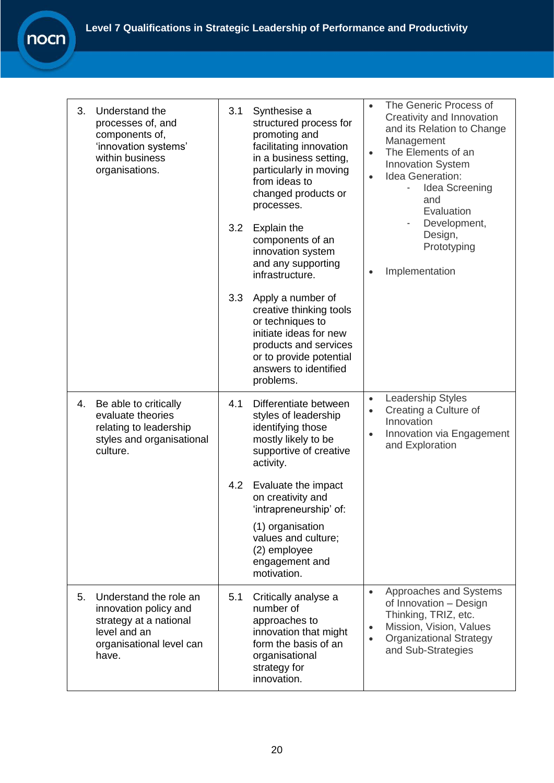| nocni |  |
|-------|--|

| 3.<br>Understand the<br>processes of, and<br>components of,<br>'innovation systems'<br>within business<br>organisations.             | 3.1<br>Synthesise a<br>structured process for<br>promoting and<br>facilitating innovation<br>in a business setting,<br>particularly in moving<br>from ideas to<br>changed products or<br>processes.<br>3.2<br>Explain the<br>components of an<br>innovation system<br>and any supporting<br>infrastructure. | The Generic Process of<br>$\bullet$<br>Creativity and Innovation<br>and its Relation to Change<br>Management<br>The Elements of an<br>$\bullet$<br><b>Innovation System</b><br>Idea Generation:<br>$\bullet$<br>Idea Screening<br>and<br>Evaluation<br>Development,<br>Design,<br>Prototyping<br>Implementation<br>$\bullet$ |
|--------------------------------------------------------------------------------------------------------------------------------------|-------------------------------------------------------------------------------------------------------------------------------------------------------------------------------------------------------------------------------------------------------------------------------------------------------------|------------------------------------------------------------------------------------------------------------------------------------------------------------------------------------------------------------------------------------------------------------------------------------------------------------------------------|
|                                                                                                                                      | 3.3<br>Apply a number of<br>creative thinking tools<br>or techniques to<br>initiate ideas for new<br>products and services<br>or to provide potential<br>answers to identified<br>problems.                                                                                                                 |                                                                                                                                                                                                                                                                                                                              |
| 4.<br>Be able to critically<br>evaluate theories<br>relating to leadership<br>styles and organisational<br>culture.                  | 4.1<br>Differentiate between<br>styles of leadership<br>identifying those<br>mostly likely to be<br>supportive of creative<br>activity.                                                                                                                                                                     | Leadership Styles<br>$\bullet$<br>Creating a Culture of<br>$\bullet$<br>Innovation<br>Innovation via Engagement<br>$\bullet$<br>and Exploration                                                                                                                                                                              |
|                                                                                                                                      | 4.2<br>Evaluate the impact<br>on creativity and<br>'intrapreneurship' of:                                                                                                                                                                                                                                   |                                                                                                                                                                                                                                                                                                                              |
|                                                                                                                                      | (1) organisation<br>values and culture;<br>(2) employee<br>engagement and<br>motivation.                                                                                                                                                                                                                    |                                                                                                                                                                                                                                                                                                                              |
| 5.<br>Understand the role an<br>innovation policy and<br>strategy at a national<br>level and an<br>organisational level can<br>have. | 5.1<br>Critically analyse a<br>number of<br>approaches to<br>innovation that might<br>form the basis of an<br>organisational<br>strategy for<br>innovation.                                                                                                                                                 | Approaches and Systems<br>$\bullet$<br>of Innovation - Design<br>Thinking, TRIZ, etc.<br>Mission, Vision, Values<br>$\bullet$<br><b>Organizational Strategy</b><br>$\bullet$<br>and Sub-Strategies                                                                                                                           |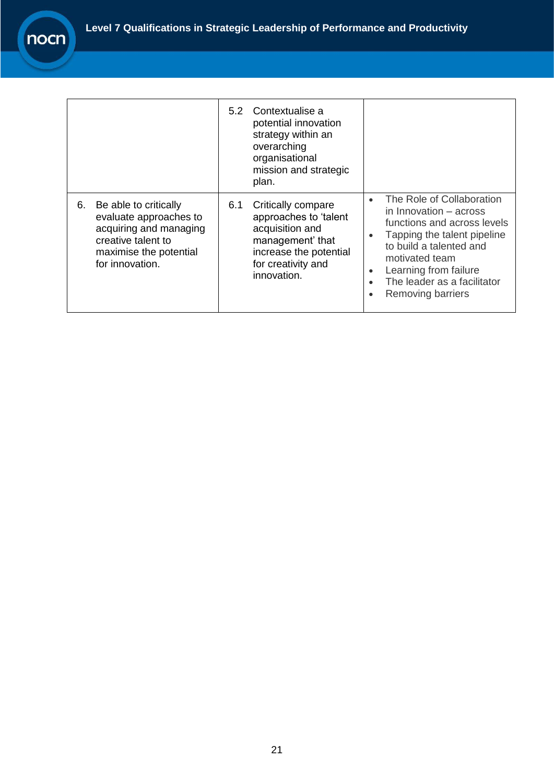$\mathbf{r}$ 

|    |                                                                                                                                              | 5.2 | Contextualise a<br>potential innovation<br>strategy within an<br>overarching<br>organisational<br>mission and strategic<br>plan.                  |                                                               |                                                                                                                                                                                                                                                    |
|----|----------------------------------------------------------------------------------------------------------------------------------------------|-----|---------------------------------------------------------------------------------------------------------------------------------------------------|---------------------------------------------------------------|----------------------------------------------------------------------------------------------------------------------------------------------------------------------------------------------------------------------------------------------------|
| 6. | Be able to critically<br>evaluate approaches to<br>acquiring and managing<br>creative talent to<br>maximise the potential<br>for innovation. | 6.1 | Critically compare<br>approaches to 'talent<br>acquisition and<br>management' that<br>increase the potential<br>for creativity and<br>innovation. | $\bullet$<br>$\bullet$<br>$\bullet$<br>$\bullet$<br>$\bullet$ | The Role of Collaboration<br>in Innovation – across<br>functions and across levels<br>Tapping the talent pipeline<br>to build a talented and<br>motivated team<br>Learning from failure<br>The leader as a facilitator<br><b>Removing barriers</b> |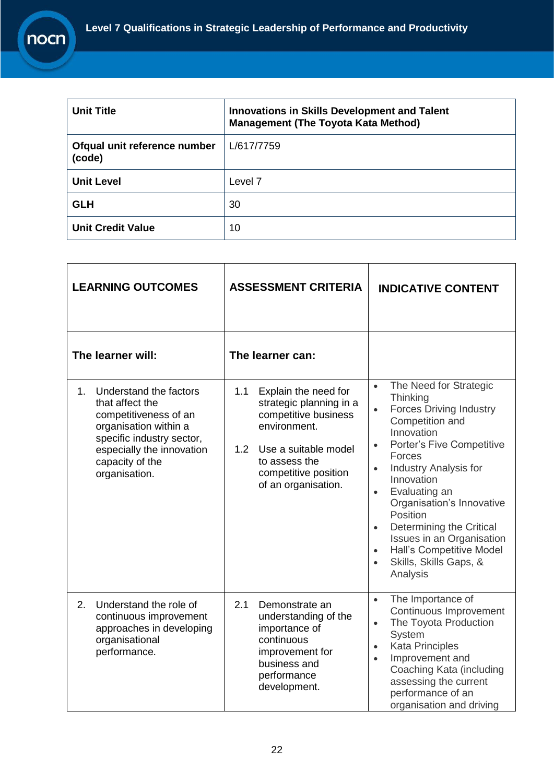| <b>Unit Title</b>                      | Innovations in Skills Development and Talent<br><b>Management (The Toyota Kata Method)</b> |
|----------------------------------------|--------------------------------------------------------------------------------------------|
| Ofqual unit reference number<br>(code) | L/617/7759                                                                                 |
| <b>Unit Level</b>                      | Level 7                                                                                    |
| <b>GLH</b>                             | 30                                                                                         |
| <b>Unit Credit Value</b>               | 10                                                                                         |

|    | <b>LEARNING OUTCOMES</b>                                                                                                                                                                  |            | <b>ASSESSMENT CRITERIA</b>                                                                                                                                                      | <b>INDICATIVE CONTENT</b>                                                                                                                                                                                                                                                                                                                                                                                                                                                                      |
|----|-------------------------------------------------------------------------------------------------------------------------------------------------------------------------------------------|------------|---------------------------------------------------------------------------------------------------------------------------------------------------------------------------------|------------------------------------------------------------------------------------------------------------------------------------------------------------------------------------------------------------------------------------------------------------------------------------------------------------------------------------------------------------------------------------------------------------------------------------------------------------------------------------------------|
|    | The learner will:                                                                                                                                                                         |            | The learner can:                                                                                                                                                                |                                                                                                                                                                                                                                                                                                                                                                                                                                                                                                |
| 1. | Understand the factors<br>that affect the<br>competitiveness of an<br>organisation within a<br>specific industry sector,<br>especially the innovation<br>capacity of the<br>organisation. | 1.1<br>1.2 | Explain the need for<br>strategic planning in a<br>competitive business<br>environment.<br>Use a suitable model<br>to assess the<br>competitive position<br>of an organisation. | The Need for Strategic<br>$\bullet$<br>Thinking<br><b>Forces Driving Industry</b><br>$\bullet$<br>Competition and<br>Innovation<br><b>Porter's Five Competitive</b><br>$\bullet$<br>Forces<br><b>Industry Analysis for</b><br>$\bullet$<br>Innovation<br>Evaluating an<br>$\bullet$<br>Organisation's Innovative<br>Position<br>Determining the Critical<br>$\bullet$<br>Issues in an Organisation<br>Hall's Competitive Model<br>$\bullet$<br>Skills, Skills Gaps, &<br>$\bullet$<br>Analysis |
| 2. | Understand the role of<br>continuous improvement<br>approaches in developing<br>organisational<br>performance.                                                                            | 2.1        | Demonstrate an<br>understanding of the<br>importance of<br>continuous<br>improvement for<br>business and<br>performance<br>development.                                         | The Importance of<br>$\bullet$<br>Continuous Improvement<br>The Toyota Production<br>$\bullet$<br>System<br><b>Kata Principles</b><br>$\bullet$<br>Improvement and<br>$\bullet$<br>Coaching Kata (including<br>assessing the current<br>performance of an<br>organisation and driving                                                                                                                                                                                                          |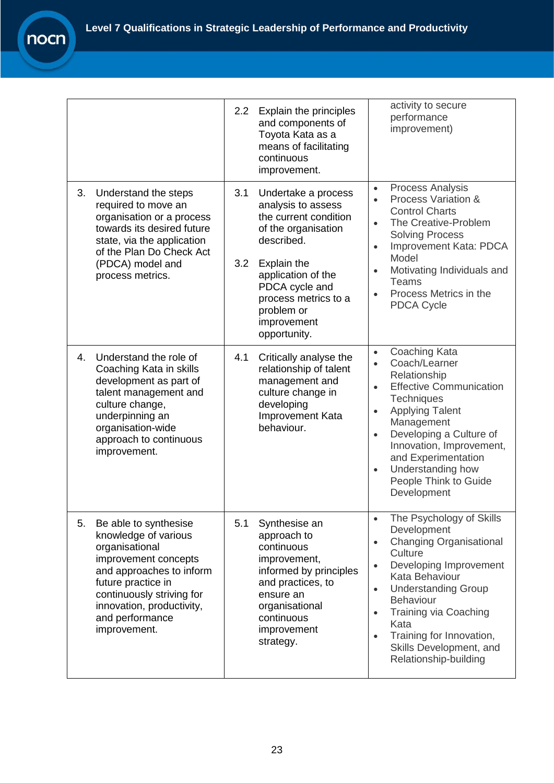|                                                                                                                                                                                                                                              | Explain the principles<br>2.2 <sub>2</sub><br>and components of<br>Toyota Kata as a<br>means of facilitating<br>continuous<br>improvement.                                                                                                        | activity to secure<br>performance<br>improvement)                                                                                                                                                                                                                                                                                                                                        |
|----------------------------------------------------------------------------------------------------------------------------------------------------------------------------------------------------------------------------------------------|---------------------------------------------------------------------------------------------------------------------------------------------------------------------------------------------------------------------------------------------------|------------------------------------------------------------------------------------------------------------------------------------------------------------------------------------------------------------------------------------------------------------------------------------------------------------------------------------------------------------------------------------------|
| 3.<br>Understand the steps<br>required to move an<br>organisation or a process<br>towards its desired future<br>state, via the application<br>of the Plan Do Check Act<br>(PDCA) model and<br>process metrics.                               | 3.1<br>Undertake a process<br>analysis to assess<br>the current condition<br>of the organisation<br>described.<br>3.2<br>Explain the<br>application of the<br>PDCA cycle and<br>process metrics to a<br>problem or<br>improvement<br>opportunity. | <b>Process Analysis</b><br>$\bullet$<br>Process Variation &<br>$\bullet$<br><b>Control Charts</b><br>The Creative-Problem<br>$\bullet$<br><b>Solving Process</b><br>Improvement Kata: PDCA<br>$\bullet$<br>Model<br>Motivating Individuals and<br>$\bullet$<br><b>Teams</b><br>Process Metrics in the<br>$\bullet$<br><b>PDCA Cycle</b>                                                  |
| Understand the role of<br>4.<br>Coaching Kata in skills<br>development as part of<br>talent management and<br>culture change,<br>underpinning an<br>organisation-wide<br>approach to continuous<br>improvement.                              | 4.1<br>Critically analyse the<br>relationship of talent<br>management and<br>culture change in<br>developing<br>Improvement Kata<br>behaviour.                                                                                                    | Coaching Kata<br>$\bullet$<br>Coach/Learner<br>$\bullet$<br>Relationship<br><b>Effective Communication</b><br>$\bullet$<br><b>Techniques</b><br><b>Applying Talent</b><br>$\bullet$<br>Management<br>Developing a Culture of<br>$\bullet$<br>Innovation, Improvement,<br>and Experimentation<br>Understanding how<br>$\bullet$<br>People Think to Guide<br>Development                   |
| 5.<br>Be able to synthesise<br>knowledge of various<br>organisational<br>improvement concepts<br>and approaches to inform<br>future practice in<br>continuously striving for<br>innovation, productivity,<br>and performance<br>improvement. | 5.1<br>Synthesise an<br>approach to<br>continuous<br>improvement,<br>informed by principles<br>and practices, to<br>ensure an<br>organisational<br>continuous<br>improvement<br>strategy.                                                         | The Psychology of Skills<br>$\bullet$<br>Development<br><b>Changing Organisational</b><br>$\bullet$<br>Culture<br>Developing Improvement<br>$\bullet$<br>Kata Behaviour<br><b>Understanding Group</b><br>$\bullet$<br><b>Behaviour</b><br><b>Training via Coaching</b><br>$\bullet$<br>Kata<br>Training for Innovation,<br>$\bullet$<br>Skills Development, and<br>Relationship-building |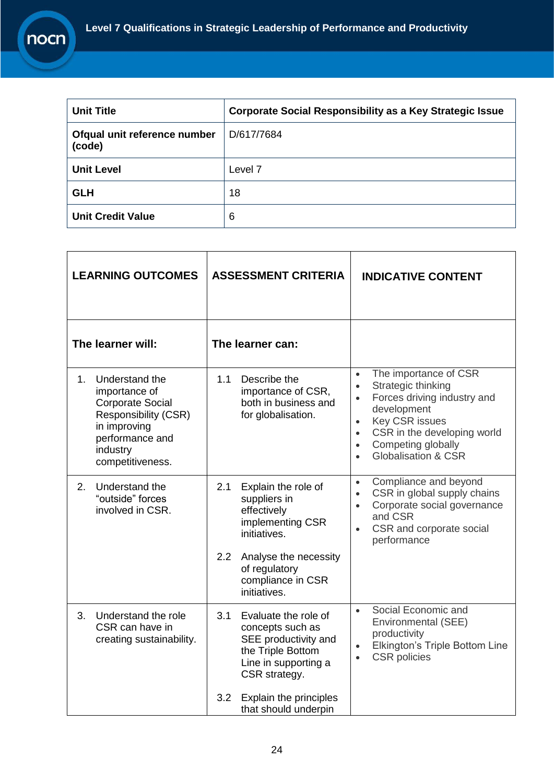| <b>Unit Title</b>                      | <b>Corporate Social Responsibility as a Key Strategic Issue</b> |
|----------------------------------------|-----------------------------------------------------------------|
| Ofqual unit reference number<br>(code) | D/617/7684                                                      |
| <b>Unit Level</b>                      | Level 7                                                         |
| <b>GLH</b>                             | 18                                                              |
| <b>Unit Credit Value</b>               | 6                                                               |

| <b>LEARNING OUTCOMES</b> |                                                                                                                                                       | <b>ASSESSMENT CRITERIA</b> |                                                                                                                                | <b>INDICATIVE CONTENT</b>                                                                                                                                                                                                                                                                            |
|--------------------------|-------------------------------------------------------------------------------------------------------------------------------------------------------|----------------------------|--------------------------------------------------------------------------------------------------------------------------------|------------------------------------------------------------------------------------------------------------------------------------------------------------------------------------------------------------------------------------------------------------------------------------------------------|
| The learner will:        |                                                                                                                                                       |                            | The learner can:                                                                                                               |                                                                                                                                                                                                                                                                                                      |
| 1.                       | Understand the<br>importance of<br><b>Corporate Social</b><br>Responsibility (CSR)<br>in improving<br>performance and<br>industry<br>competitiveness. | 1.1                        | Describe the<br>importance of CSR,<br>both in business and<br>for globalisation.                                               | The importance of CSR<br>$\bullet$<br>Strategic thinking<br>$\bullet$<br>Forces driving industry and<br>$\bullet$<br>development<br><b>Key CSR issues</b><br>$\bullet$<br>CSR in the developing world<br>$\bullet$<br>Competing globally<br>$\bullet$<br><b>Globalisation &amp; CSR</b><br>$\bullet$ |
| 2.                       | Understand the<br>"outside" forces<br>involved in CSR.                                                                                                | 2.1                        | Explain the role of<br>suppliers in<br>effectively<br>implementing CSR<br>initiatives.                                         | Compliance and beyond<br>$\bullet$<br>CSR in global supply chains<br>$\bullet$<br>Corporate social governance<br>$\bullet$<br>and CSR<br>CSR and corporate social<br>$\bullet$<br>performance                                                                                                        |
|                          |                                                                                                                                                       | 2.2                        | Analyse the necessity<br>of regulatory<br>compliance in CSR<br>initiatives.                                                    |                                                                                                                                                                                                                                                                                                      |
| 3.                       | Understand the role<br>CSR can have in<br>creating sustainability.                                                                                    | 3.1                        | Evaluate the role of<br>concepts such as<br>SEE productivity and<br>the Triple Bottom<br>Line in supporting a<br>CSR strategy. | Social Economic and<br>$\bullet$<br>Environmental (SEE)<br>productivity<br>Elkington's Triple Bottom Line<br>$\bullet$<br><b>CSR</b> policies<br>$\bullet$                                                                                                                                           |
|                          |                                                                                                                                                       | 3.2                        | Explain the principles<br>that should underpin                                                                                 |                                                                                                                                                                                                                                                                                                      |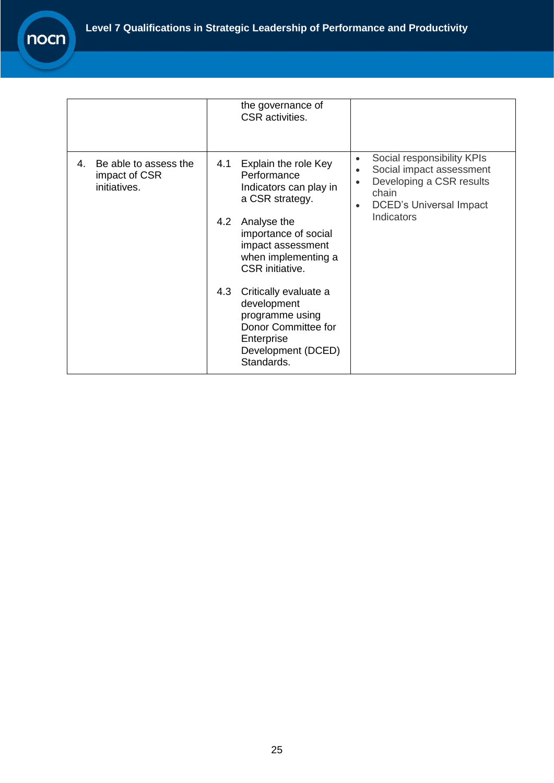|    |                                                        |     | the governance of<br>CSR activities.                                                                                             |                                                  |                                                                                                                               |
|----|--------------------------------------------------------|-----|----------------------------------------------------------------------------------------------------------------------------------|--------------------------------------------------|-------------------------------------------------------------------------------------------------------------------------------|
| 4. | Be able to assess the<br>impact of CSR<br>initiatives. | 4.1 | Explain the role Key<br>Performance<br>Indicators can play in<br>a CSR strategy.                                                 | $\bullet$<br>$\bullet$<br>$\bullet$<br>$\bullet$ | Social responsibility KPIs<br>Social impact assessment<br>Developing a CSR results<br>chain<br><b>DCED's Universal Impact</b> |
|    |                                                        | 4.2 | Analyse the<br>importance of social<br>impact assessment<br>when implementing a<br><b>CSR</b> initiative.                        |                                                  | Indicators                                                                                                                    |
|    |                                                        | 4.3 | Critically evaluate a<br>development<br>programme using<br>Donor Committee for<br>Enterprise<br>Development (DCED)<br>Standards. |                                                  |                                                                                                                               |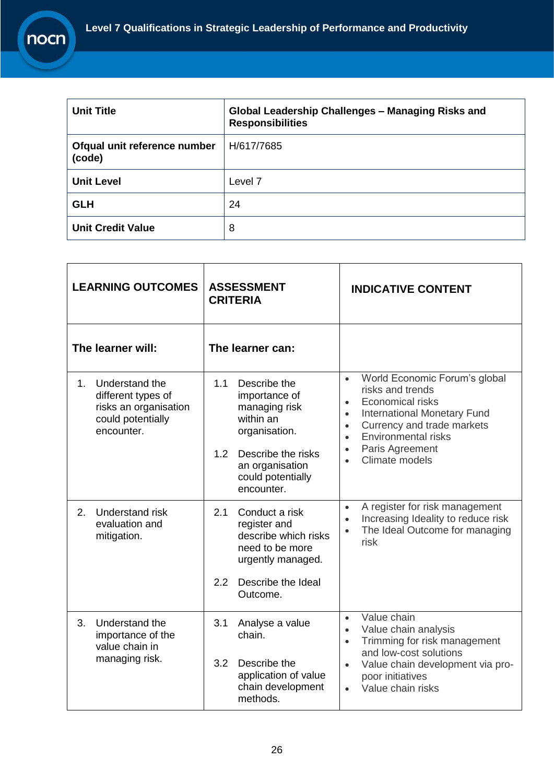| <b>Unit Title</b>                      | Global Leadership Challenges - Managing Risks and<br><b>Responsibilities</b> |
|----------------------------------------|------------------------------------------------------------------------------|
| Ofqual unit reference number<br>(code) | H/617/7685                                                                   |
| <b>Unit Level</b>                      | Level 7                                                                      |
| <b>GLH</b>                             | 24                                                                           |
| <b>Unit Credit Value</b>               | 8                                                                            |

| <b>LEARNING OUTCOMES</b><br><b>ASSESSMENT</b><br><b>CRITERIA</b> |                                                                                                  |                                           |                                                                                                | <b>INDICATIVE CONTENT</b>                                                                           |                                                                                                                                                                                |
|------------------------------------------------------------------|--------------------------------------------------------------------------------------------------|-------------------------------------------|------------------------------------------------------------------------------------------------|-----------------------------------------------------------------------------------------------------|--------------------------------------------------------------------------------------------------------------------------------------------------------------------------------|
|                                                                  | The learner will:                                                                                |                                           | The learner can:                                                                               |                                                                                                     |                                                                                                                                                                                |
| $1 -$                                                            | Understand the<br>different types of<br>risks an organisation<br>could potentially<br>encounter. | 1.1                                       | Describe the<br>importance of<br>managing risk<br>within an<br>organisation.                   | $\bullet$<br>$\bullet$<br>$\bullet$<br>$\bullet$<br>$\bullet$                                       | World Economic Forum's global<br>risks and trends<br><b>Economical risks</b><br><b>International Monetary Fund</b><br>Currency and trade markets<br><b>Environmental risks</b> |
|                                                                  |                                                                                                  | 1.2                                       | Describe the risks<br>an organisation<br>could potentially<br>encounter.                       | $\bullet$<br>$\bullet$                                                                              | Paris Agreement<br>Climate models                                                                                                                                              |
| $2_{-}$                                                          | Understand risk<br>evaluation and<br>mitigation.                                                 | 2.1                                       | Conduct a risk<br>register and<br>describe which risks<br>need to be more<br>urgently managed. | $\bullet$<br>$\bullet$                                                                              | A register for risk management<br>Increasing Ideality to reduce risk<br>The Ideal Outcome for managing<br>risk                                                                 |
|                                                                  |                                                                                                  | 2.2                                       | Describe the Ideal<br>Outcome.                                                                 |                                                                                                     |                                                                                                                                                                                |
| 3.                                                               | Understand the<br>importance of the<br>value chain in                                            | 3.1                                       | Analyse a value<br>chain.                                                                      | $\bullet$<br>$\bullet$<br>$\bullet$                                                                 | Value chain<br>Value chain analysis<br>Trimming for risk management                                                                                                            |
|                                                                  | managing risk.<br>3.2<br>Describe the<br>methods.                                                | application of value<br>chain development | $\bullet$                                                                                      | and low-cost solutions<br>Value chain development via pro-<br>poor initiatives<br>Value chain risks |                                                                                                                                                                                |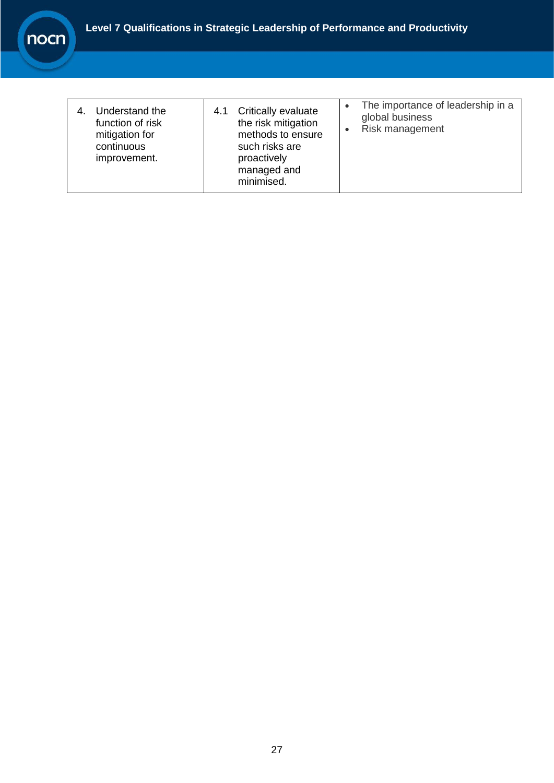

| Understand the<br>function of risk<br>mitigation for<br>continuous<br>improvement. | Critically evaluate<br>4.1<br>the risk mitigation<br>methods to ensure<br>such risks are<br>proactively<br>managed and<br>minimised. | The importance of leadership in a<br>$\bullet$<br>global business<br>Risk management |
|------------------------------------------------------------------------------------|--------------------------------------------------------------------------------------------------------------------------------------|--------------------------------------------------------------------------------------|
|------------------------------------------------------------------------------------|--------------------------------------------------------------------------------------------------------------------------------------|--------------------------------------------------------------------------------------|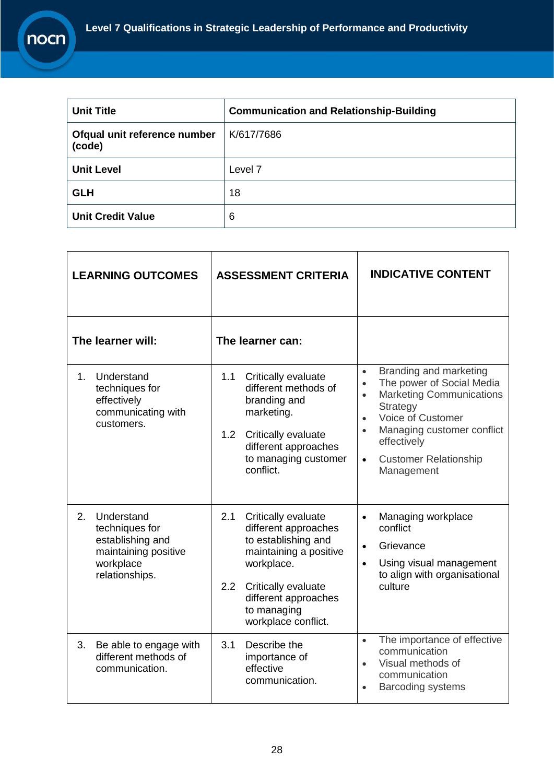| <b>Unit Title</b>                      | <b>Communication and Relationship-Building</b> |
|----------------------------------------|------------------------------------------------|
| Ofqual unit reference number<br>(code) | K/617/7686                                     |
| <b>Unit Level</b>                      | Level 7                                        |
| <b>GLH</b>                             | 18                                             |
| <b>Unit Credit Value</b>               | 6                                              |

| <b>LEARNING OUTCOMES</b>                                                                                      | <b>ASSESSMENT CRITERIA</b>                                                                                                                                                                                    | <b>INDICATIVE CONTENT</b>                                                                                                                                                                                                                                                                                      |
|---------------------------------------------------------------------------------------------------------------|---------------------------------------------------------------------------------------------------------------------------------------------------------------------------------------------------------------|----------------------------------------------------------------------------------------------------------------------------------------------------------------------------------------------------------------------------------------------------------------------------------------------------------------|
| The learner will:                                                                                             | The learner can:                                                                                                                                                                                              |                                                                                                                                                                                                                                                                                                                |
| Understand<br>$1_{-}$<br>techniques for<br>effectively<br>communicating with<br>customers.                    | 1.1<br>Critically evaluate<br>different methods of<br>branding and<br>marketing.<br>1.2<br>Critically evaluate<br>different approaches<br>to managing customer<br>conflict.                                   | Branding and marketing<br>$\bullet$<br>The power of Social Media<br>$\bullet$<br><b>Marketing Communications</b><br>$\bullet$<br><b>Strategy</b><br><b>Voice of Customer</b><br>$\bullet$<br>Managing customer conflict<br>$\bullet$<br>effectively<br><b>Customer Relationship</b><br>$\bullet$<br>Management |
| 2.<br>Understand<br>techniques for<br>establishing and<br>maintaining positive<br>workplace<br>relationships. | 2.1<br>Critically evaluate<br>different approaches<br>to establishing and<br>maintaining a positive<br>workplace.<br>2.2<br>Critically evaluate<br>different approaches<br>to managing<br>workplace conflict. | Managing workplace<br>$\bullet$<br>conflict<br>Grievance<br>$\bullet$<br>Using visual management<br>$\bullet$<br>to align with organisational<br>culture                                                                                                                                                       |
| 3.<br>Be able to engage with<br>different methods of<br>communication.                                        | 3.1<br>Describe the<br>importance of<br>effective<br>communication.                                                                                                                                           | The importance of effective<br>$\bullet$<br>communication<br>Visual methods of<br>$\bullet$<br>communication<br><b>Barcoding systems</b><br>$\bullet$                                                                                                                                                          |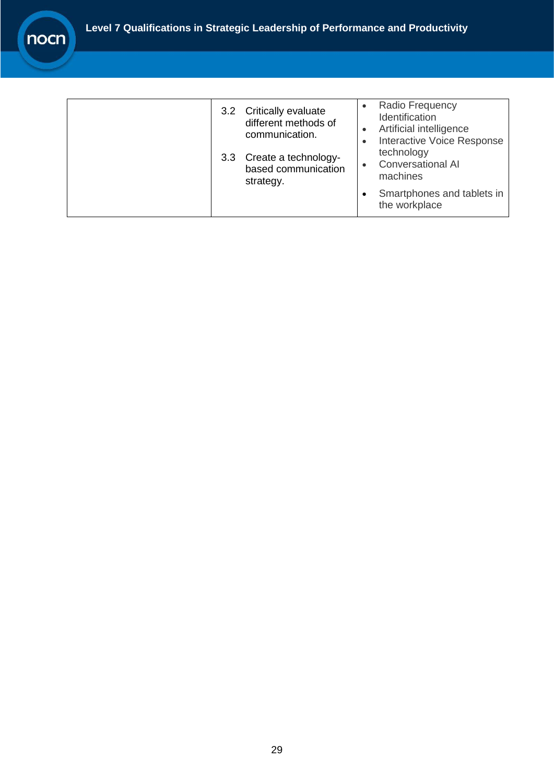|  | 3.2 Critically evaluate<br>different methods of<br>communication.<br>3.3 Create a technology-<br>based communication<br>strategy. | Radio Frequency<br>Identification<br>Artificial intelligence<br><b>Interactive Voice Response</b><br>technology<br><b>Conversational AI</b><br>machines |
|--|-----------------------------------------------------------------------------------------------------------------------------------|---------------------------------------------------------------------------------------------------------------------------------------------------------|
|  |                                                                                                                                   | Smartphones and tablets in<br>the workplace                                                                                                             |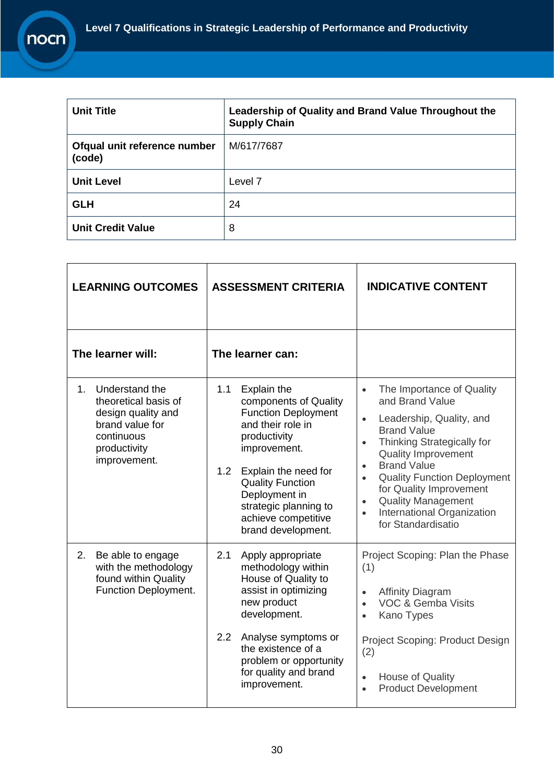| <b>Unit Title</b>                      | Leadership of Quality and Brand Value Throughout the<br><b>Supply Chain</b> |
|----------------------------------------|-----------------------------------------------------------------------------|
| Ofqual unit reference number<br>(code) | M/617/7687                                                                  |
| <b>Unit Level</b>                      | Level 7                                                                     |
| <b>GLH</b>                             | 24                                                                          |
| <b>Unit Credit Value</b>               | 8                                                                           |

| <b>LEARNING OUTCOMES</b>                                                                                                                        | <b>ASSESSMENT CRITERIA</b>                                                                                                                                                                                                                                                      | <b>INDICATIVE CONTENT</b>                                                                                                                                                                                                                                                                                                                                                                                                            |
|-------------------------------------------------------------------------------------------------------------------------------------------------|---------------------------------------------------------------------------------------------------------------------------------------------------------------------------------------------------------------------------------------------------------------------------------|--------------------------------------------------------------------------------------------------------------------------------------------------------------------------------------------------------------------------------------------------------------------------------------------------------------------------------------------------------------------------------------------------------------------------------------|
| The learner will:                                                                                                                               | The learner can:                                                                                                                                                                                                                                                                |                                                                                                                                                                                                                                                                                                                                                                                                                                      |
| 1 <sub>1</sub><br>Understand the<br>theoretical basis of<br>design quality and<br>brand value for<br>continuous<br>productivity<br>improvement. | 1.1<br>Explain the<br>components of Quality<br><b>Function Deployment</b><br>and their role in<br>productivity<br>improvement.<br>1.2<br>Explain the need for<br><b>Quality Function</b><br>Deployment in<br>strategic planning to<br>achieve competitive<br>brand development. | The Importance of Quality<br>$\bullet$<br>and Brand Value<br>Leadership, Quality, and<br>$\bullet$<br><b>Brand Value</b><br>Thinking Strategically for<br>$\bullet$<br><b>Quality Improvement</b><br><b>Brand Value</b><br>$\bullet$<br><b>Quality Function Deployment</b><br>$\bullet$<br>for Quality Improvement<br><b>Quality Management</b><br>$\bullet$<br><b>International Organization</b><br>$\bullet$<br>for Standardisatio |
| 2.<br>Be able to engage<br>with the methodology<br>found within Quality<br>Function Deployment.                                                 | 2.1<br>Apply appropriate<br>methodology within<br>House of Quality to<br>assist in optimizing<br>new product<br>development.<br>2.2<br>Analyse symptoms or<br>the existence of a<br>problem or opportunity<br>for quality and brand<br>improvement.                             | Project Scoping: Plan the Phase<br>(1)<br><b>Affinity Diagram</b><br>$\bullet$<br><b>VOC &amp; Gemba Visits</b><br>$\bullet$<br>Kano Types<br>$\bullet$<br>Project Scoping: Product Design<br>(2)<br><b>House of Quality</b><br>$\bullet$<br><b>Product Development</b><br>$\bullet$                                                                                                                                                 |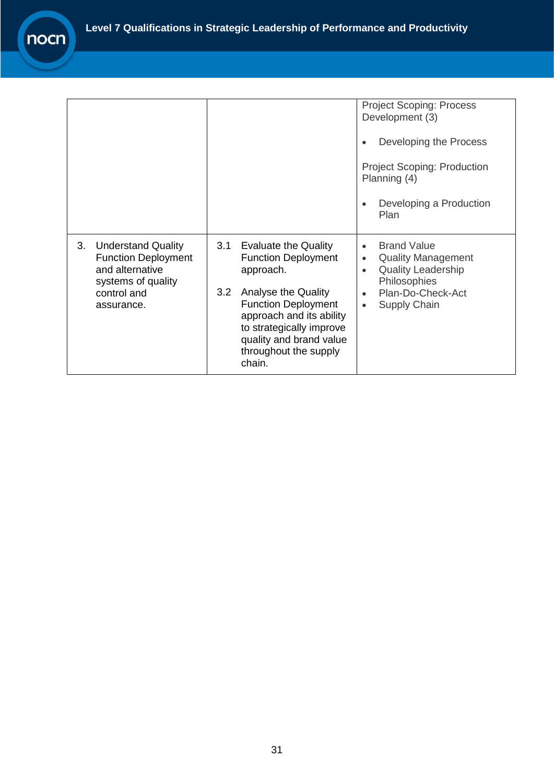|                                                                                                                           |                                                                                                                                                                                                                                                                 | <b>Project Scoping: Process</b><br>Development (3)<br>Developing the Process<br>$\bullet$<br><b>Project Scoping: Production</b><br>Planning (4)<br>Developing a Production<br>$\bullet$<br>Plan           |
|---------------------------------------------------------------------------------------------------------------------------|-----------------------------------------------------------------------------------------------------------------------------------------------------------------------------------------------------------------------------------------------------------------|-----------------------------------------------------------------------------------------------------------------------------------------------------------------------------------------------------------|
| 3. Understand Quality<br><b>Function Deployment</b><br>and alternative<br>systems of quality<br>control and<br>assurance. | <b>Evaluate the Quality</b><br>3.1<br><b>Function Deployment</b><br>approach.<br>3.2<br>Analyse the Quality<br><b>Function Deployment</b><br>approach and its ability<br>to strategically improve<br>quality and brand value<br>throughout the supply<br>chain. | <b>Brand Value</b><br>$\bullet$<br><b>Quality Management</b><br>$\bullet$<br><b>Quality Leadership</b><br>$\bullet$<br>Philosophies<br>Plan-Do-Check-Act<br>$\bullet$<br><b>Supply Chain</b><br>$\bullet$ |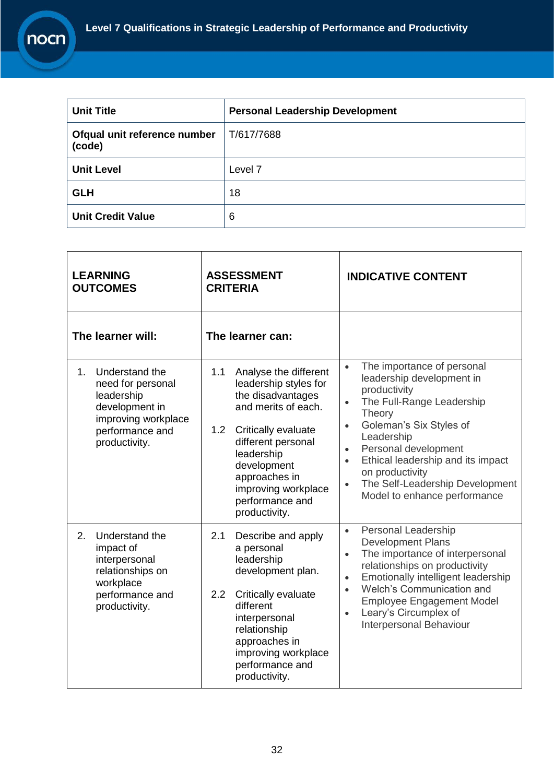$\mathbf{r}$ 

| <b>Unit Title</b>                      | <b>Personal Leadership Development</b> |
|----------------------------------------|----------------------------------------|
| Ofqual unit reference number<br>(code) | T/617/7688                             |
| <b>Unit Level</b>                      | Level <sub>7</sub>                     |
| <b>GLH</b>                             | 18                                     |
| <b>Unit Credit Value</b>               | 6                                      |

| <b>ASSESSMENT</b><br><b>LEARNING</b><br><b>OUTCOMES</b><br><b>CRITERIA</b>                                                                |                                                                                                                                                                                                                                                                             | <b>INDICATIVE CONTENT</b>                                                                                                                                                                                                                                                                                                                                                                |
|-------------------------------------------------------------------------------------------------------------------------------------------|-----------------------------------------------------------------------------------------------------------------------------------------------------------------------------------------------------------------------------------------------------------------------------|------------------------------------------------------------------------------------------------------------------------------------------------------------------------------------------------------------------------------------------------------------------------------------------------------------------------------------------------------------------------------------------|
| The learner will:                                                                                                                         | The learner can:                                                                                                                                                                                                                                                            |                                                                                                                                                                                                                                                                                                                                                                                          |
| Understand the<br>$1_{-}$<br>need for personal<br>leadership<br>development in<br>improving workplace<br>performance and<br>productivity. | Analyse the different<br>1.1<br>leadership styles for<br>the disadvantages<br>and merits of each.<br>1.2 <sub>2</sub><br>Critically evaluate<br>different personal<br>leadership<br>development<br>approaches in<br>improving workplace<br>performance and<br>productivity. | The importance of personal<br>$\bullet$<br>leadership development in<br>productivity<br>The Full-Range Leadership<br>$\bullet$<br>Theory<br>Goleman's Six Styles of<br>$\bullet$<br>Leadership<br>Personal development<br>$\bullet$<br>Ethical leadership and its impact<br>$\bullet$<br>on productivity<br>The Self-Leadership Development<br>$\bullet$<br>Model to enhance performance |
| Understand the<br>2.<br>impact of<br>interpersonal<br>relationships on<br>workplace<br>performance and<br>productivity.                   | Describe and apply<br>2.1<br>a personal<br>leadership<br>development plan.<br>$2.2\overline{ }$<br>Critically evaluate<br>different<br>interpersonal<br>relationship<br>approaches in<br>improving workplace<br>performance and<br>productivity.                            | <b>Personal Leadership</b><br>$\bullet$<br><b>Development Plans</b><br>The importance of interpersonal<br>$\bullet$<br>relationships on productivity<br>Emotionally intelligent leadership<br>$\bullet$<br>Welch's Communication and<br>$\bullet$<br><b>Employee Engagement Model</b><br>Leary's Circumplex of<br>$\bullet$<br>Interpersonal Behaviour                                   |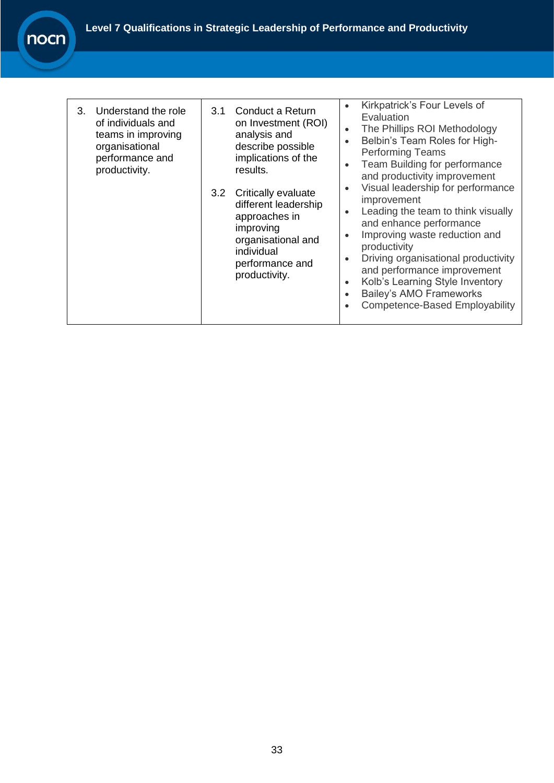| Understand the role<br>3.<br>of individuals and<br>teams in improving<br>organisational<br>performance and<br>productivity. | 3.1<br>3.2 | Conduct a Return<br>on Investment (ROI)<br>analysis and<br>describe possible<br>implications of the<br>results.<br>Critically evaluate<br>different leadership<br>approaches in<br>improving<br>organisational and<br>individual<br>performance and<br>productivity. | $\bullet$<br>$\bullet$<br>$\bullet$<br>$\bullet$<br>$\bullet$<br>$\bullet$<br>$\bullet$<br>$\bullet$<br>$\bullet$<br>$\bullet$ | Kirkpatrick's Four Levels of<br>Evaluation<br>The Phillips ROI Methodology<br>Belbin's Team Roles for High-<br><b>Performing Teams</b><br>Team Building for performance<br>and productivity improvement<br>Visual leadership for performance<br>improvement<br>Leading the team to think visually<br>and enhance performance<br>Improving waste reduction and<br>productivity<br>Driving organisational productivity<br>and performance improvement<br>Kolb's Learning Style Inventory<br><b>Bailey's AMO Frameworks</b><br><b>Competence-Based Employability</b> |
|-----------------------------------------------------------------------------------------------------------------------------|------------|----------------------------------------------------------------------------------------------------------------------------------------------------------------------------------------------------------------------------------------------------------------------|--------------------------------------------------------------------------------------------------------------------------------|-------------------------------------------------------------------------------------------------------------------------------------------------------------------------------------------------------------------------------------------------------------------------------------------------------------------------------------------------------------------------------------------------------------------------------------------------------------------------------------------------------------------------------------------------------------------|
|-----------------------------------------------------------------------------------------------------------------------------|------------|----------------------------------------------------------------------------------------------------------------------------------------------------------------------------------------------------------------------------------------------------------------------|--------------------------------------------------------------------------------------------------------------------------------|-------------------------------------------------------------------------------------------------------------------------------------------------------------------------------------------------------------------------------------------------------------------------------------------------------------------------------------------------------------------------------------------------------------------------------------------------------------------------------------------------------------------------------------------------------------------|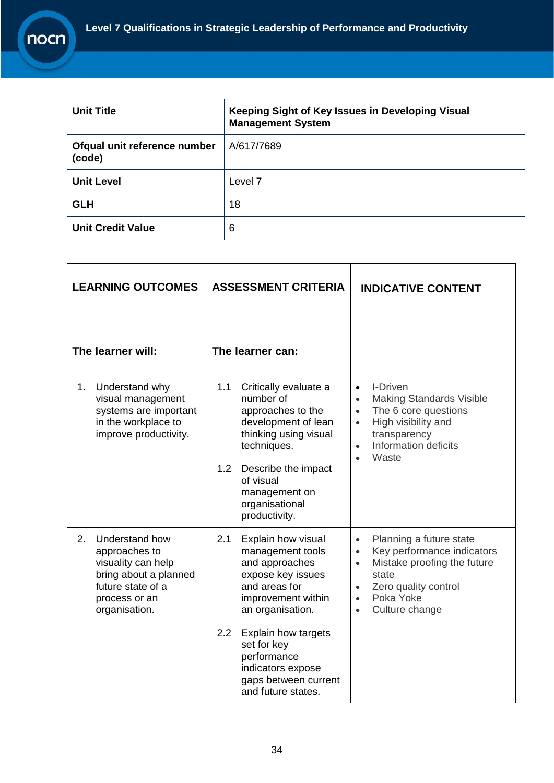| <b>Unit Title</b>                      | Keeping Sight of Key Issues in Developing Visual<br><b>Management System</b> |
|----------------------------------------|------------------------------------------------------------------------------|
| Ofqual unit reference number<br>(code) | A/617/7689                                                                   |
| <b>Unit Level</b>                      | Level 7                                                                      |
| <b>GLH</b>                             | 18                                                                           |
| <b>Unit Credit Value</b>               | 6                                                                            |

| <b>LEARNING OUTCOMES</b>                                                                                                                    | <b>ASSESSMENT CRITERIA</b>                                                                                                                                                                                                                                                            | <b>INDICATIVE CONTENT</b>                                                                                                                                                                                                          |
|---------------------------------------------------------------------------------------------------------------------------------------------|---------------------------------------------------------------------------------------------------------------------------------------------------------------------------------------------------------------------------------------------------------------------------------------|------------------------------------------------------------------------------------------------------------------------------------------------------------------------------------------------------------------------------------|
| The learner will:                                                                                                                           | The learner can:                                                                                                                                                                                                                                                                      |                                                                                                                                                                                                                                    |
| Understand why<br>1.<br>visual management<br>systems are important<br>in the workplace to<br>improve productivity.                          | 1.1<br>Critically evaluate a<br>number of<br>approaches to the<br>development of lean<br>thinking using visual<br>techniques.<br>1.2<br>Describe the impact<br>of visual<br>management on<br>organisational<br>productivity.                                                          | I-Driven<br>$\bullet$<br><b>Making Standards Visible</b><br>$\bullet$<br>The 6 core questions<br>$\bullet$<br>High visibility and<br>$\bullet$<br>transparency<br>Information deficits<br>$\bullet$<br>Waste<br>$\bullet$          |
| 2.<br>Understand how<br>approaches to<br>visuality can help<br>bring about a planned<br>future state of a<br>process or an<br>organisation. | 2.1<br>Explain how visual<br>management tools<br>and approaches<br>expose key issues<br>and areas for<br>improvement within<br>an organisation.<br>2.2<br><b>Explain how targets</b><br>set for key<br>performance<br>indicators expose<br>gaps between current<br>and future states. | Planning a future state<br>$\bullet$<br>Key performance indicators<br>$\bullet$<br>Mistake proofing the future<br>$\bullet$<br>state<br>Zero quality control<br>$\bullet$<br>Poka Yoke<br>$\bullet$<br>Culture change<br>$\bullet$ |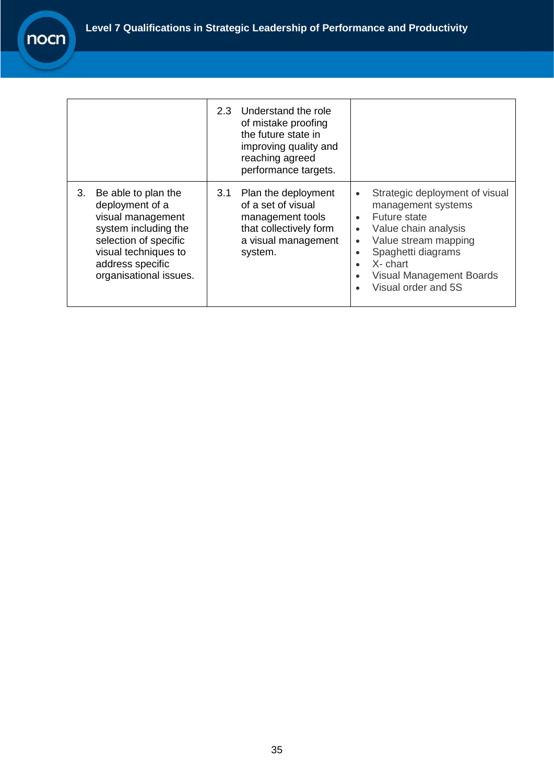|                                                                                                                                                                                          | Understand the role<br>2.3<br>of mistake proofing<br>the future state in<br>improving quality and<br>reaching agreed<br>performance targets. |                                                                                                                                                                                                                                                                                                                          |
|------------------------------------------------------------------------------------------------------------------------------------------------------------------------------------------|----------------------------------------------------------------------------------------------------------------------------------------------|--------------------------------------------------------------------------------------------------------------------------------------------------------------------------------------------------------------------------------------------------------------------------------------------------------------------------|
| 3.<br>Be able to plan the<br>deployment of a<br>visual management<br>system including the<br>selection of specific<br>visual techniques to<br>address specific<br>organisational issues. | Plan the deployment<br>3.1<br>of a set of visual<br>management tools<br>that collectively form<br>a visual management<br>system.             | Strategic deployment of visual<br>$\bullet$<br>management systems<br>Future state<br>$\bullet$<br>Value chain analysis<br>$\bullet$<br>Value stream mapping<br>$\bullet$<br>Spaghetti diagrams<br>$\bullet$<br>X- chart<br>$\bullet$<br><b>Visual Management Boards</b><br>$\bullet$<br>Visual order and 5S<br>$\bullet$ |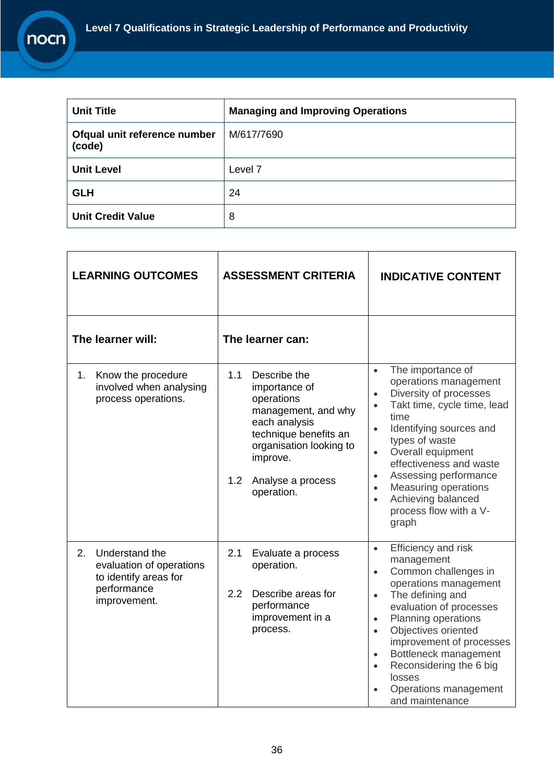

| <b>LEARNING OUTCOMES</b>                                                                                      | <b>ASSESSMENT CRITERIA</b>                                                                                                                                                                           | <b>INDICATIVE CONTENT</b>                                                                                                                                                                                                                                                                                                                                                                                                         |
|---------------------------------------------------------------------------------------------------------------|------------------------------------------------------------------------------------------------------------------------------------------------------------------------------------------------------|-----------------------------------------------------------------------------------------------------------------------------------------------------------------------------------------------------------------------------------------------------------------------------------------------------------------------------------------------------------------------------------------------------------------------------------|
| The learner will:                                                                                             | The learner can:                                                                                                                                                                                     |                                                                                                                                                                                                                                                                                                                                                                                                                                   |
| Know the procedure<br>1.<br>involved when analysing<br>process operations.                                    | Describe the<br>1.1<br>importance of<br>operations<br>management, and why<br>each analysis<br>technique benefits an<br>organisation looking to<br>improve.<br>1.2<br>Analyse a process<br>operation. | The importance of<br>$\bullet$<br>operations management<br>Diversity of processes<br>$\bullet$<br>Takt time, cycle time, lead<br>$\bullet$<br>time<br>Identifying sources and<br>$\bullet$<br>types of waste<br>Overall equipment<br>$\bullet$<br>effectiveness and waste<br>Assessing performance<br>$\bullet$<br><b>Measuring operations</b><br>$\bullet$<br>Achieving balanced<br>$\bullet$<br>process flow with a V-<br>graph |
| Understand the<br>$2_{-}$<br>evaluation of operations<br>to identify areas for<br>performance<br>improvement. | 2.1<br>Evaluate a process<br>operation.<br>Describe areas for<br>2.2<br>performance<br>improvement in a<br>process.                                                                                  | Efficiency and risk<br>$\bullet$<br>management<br>Common challenges in<br>$\bullet$<br>operations management<br>The defining and<br>$\bullet$<br>evaluation of processes<br>Planning operations<br>$\bullet$<br>Objectives oriented<br>$\bullet$<br>improvement of processes<br>Bottleneck management<br>$\bullet$<br>Reconsidering the 6 big<br>$\bullet$<br>losses<br>Operations management<br>and maintenance                  |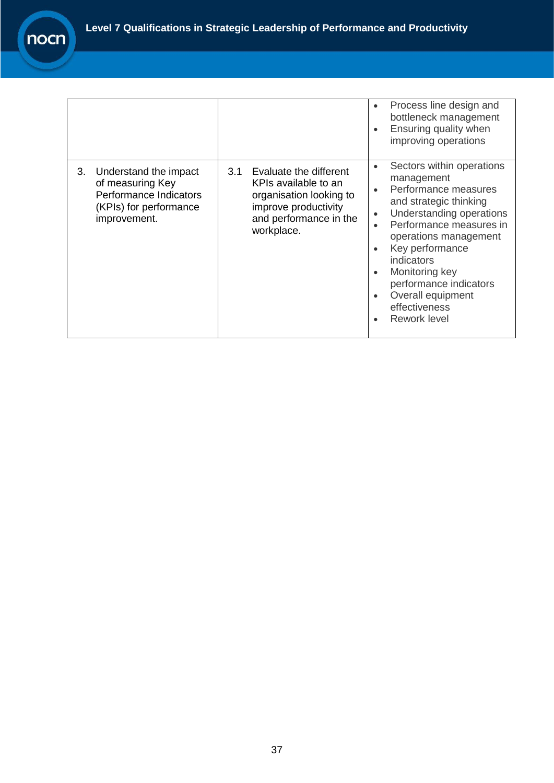|                                                                                                                     |                                                                                                                                                  | Process line design and<br>$\bullet$<br>bottleneck management<br>Ensuring quality when<br>$\bullet$<br>improving operations                                                                                                                                                                                                                                                                                          |
|---------------------------------------------------------------------------------------------------------------------|--------------------------------------------------------------------------------------------------------------------------------------------------|----------------------------------------------------------------------------------------------------------------------------------------------------------------------------------------------------------------------------------------------------------------------------------------------------------------------------------------------------------------------------------------------------------------------|
| 3.<br>Understand the impact<br>of measuring Key<br>Performance Indicators<br>(KPIs) for performance<br>improvement. | Evaluate the different<br>3.1<br>KPIs available to an<br>organisation looking to<br>improve productivity<br>and performance in the<br>workplace. | Sectors within operations<br>$\bullet$<br>management<br>Performance measures<br>$\bullet$<br>and strategic thinking<br>Understanding operations<br>$\bullet$<br>Performance measures in<br>$\bullet$<br>operations management<br>Key performance<br>$\bullet$<br>indicators<br>Monitoring key<br>$\bullet$<br>performance indicators<br>Overall equipment<br>$\bullet$<br>effectiveness<br>Rework level<br>$\bullet$ |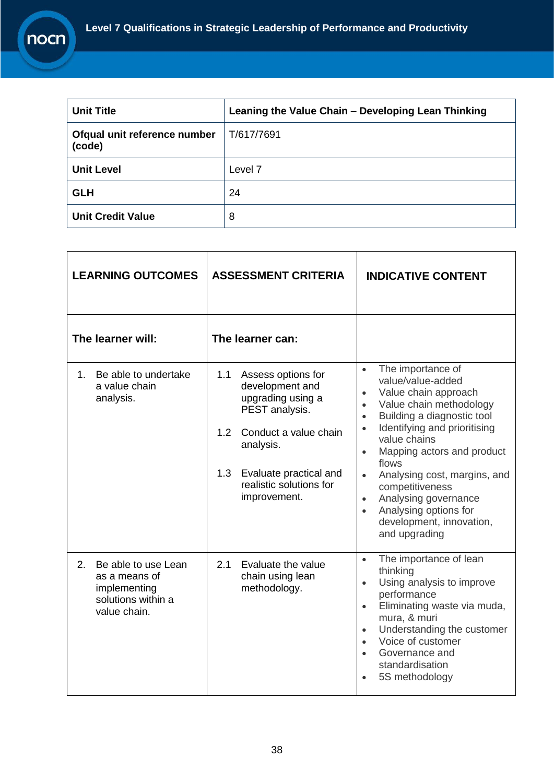| <b>Unit Title</b>                      | Leaning the Value Chain - Developing Lean Thinking |
|----------------------------------------|----------------------------------------------------|
| Ofqual unit reference number<br>(code) | T/617/7691                                         |
| <b>Unit Level</b>                      | Level 7                                            |
| <b>GLH</b>                             | 24                                                 |
| <b>Unit Credit Value</b>               | 8                                                  |

| <b>LEARNING OUTCOMES</b>                                                                         | <b>ASSESSMENT CRITERIA</b>                                                                                                                                                                                   | <b>INDICATIVE CONTENT</b>                                                                                                                                                                                                                                                                                                                                                                                                                                                            |
|--------------------------------------------------------------------------------------------------|--------------------------------------------------------------------------------------------------------------------------------------------------------------------------------------------------------------|--------------------------------------------------------------------------------------------------------------------------------------------------------------------------------------------------------------------------------------------------------------------------------------------------------------------------------------------------------------------------------------------------------------------------------------------------------------------------------------|
| The learner will:                                                                                | The learner can:                                                                                                                                                                                             |                                                                                                                                                                                                                                                                                                                                                                                                                                                                                      |
| Be able to undertake<br>1.<br>a value chain<br>analysis.                                         | 1.1<br>Assess options for<br>development and<br>upgrading using a<br>PEST analysis.<br>Conduct a value chain<br>1.2<br>analysis.<br>1.3<br>Evaluate practical and<br>realistic solutions for<br>improvement. | The importance of<br>$\bullet$<br>value/value-added<br>Value chain approach<br>$\bullet$<br>Value chain methodology<br>$\bullet$<br>Building a diagnostic tool<br>$\bullet$<br>Identifying and prioritising<br>$\bullet$<br>value chains<br>Mapping actors and product<br>$\bullet$<br>flows<br>Analysing cost, margins, and<br>$\bullet$<br>competitiveness<br>Analysing governance<br>$\bullet$<br>Analysing options for<br>$\bullet$<br>development, innovation,<br>and upgrading |
| Be able to use Lean<br>2.<br>as a means of<br>implementing<br>solutions within a<br>value chain. | 2.1<br>Evaluate the value<br>chain using lean<br>methodology.                                                                                                                                                | The importance of lean<br>$\bullet$<br>thinking<br>Using analysis to improve<br>$\bullet$<br>performance<br>Eliminating waste via muda,<br>$\bullet$<br>mura, & muri<br>Understanding the customer<br>$\bullet$<br>Voice of customer<br>$\bullet$<br>Governance and<br>$\bullet$<br>standardisation<br>5S methodology                                                                                                                                                                |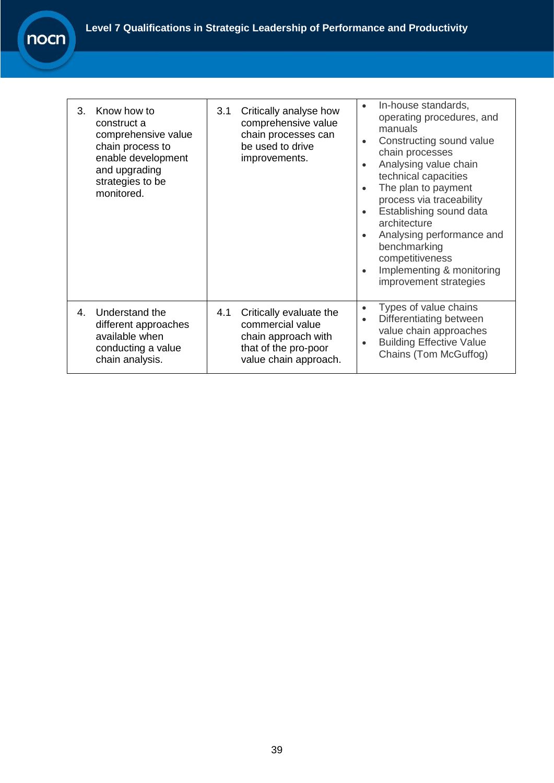| 3. | Know how to<br>construct a<br>comprehensive value<br>chain process to<br>enable development<br>and upgrading<br>strategies to be<br>monitored. | 3.1 | Critically analyse how<br>comprehensive value<br>chain processes can<br>be used to drive<br>improvements.           | In-house standards,<br>$\bullet$<br>operating procedures, and<br>manuals<br>Constructing sound value<br>$\bullet$<br>chain processes<br>Analysing value chain<br>$\bullet$<br>technical capacities<br>The plan to payment<br>$\bullet$<br>process via traceability<br>Establishing sound data<br>$\bullet$<br>architecture<br>Analysing performance and<br>$\bullet$<br>benchmarking<br>competitiveness<br>Implementing & monitoring<br>$\bullet$<br>improvement strategies |
|----|------------------------------------------------------------------------------------------------------------------------------------------------|-----|---------------------------------------------------------------------------------------------------------------------|-----------------------------------------------------------------------------------------------------------------------------------------------------------------------------------------------------------------------------------------------------------------------------------------------------------------------------------------------------------------------------------------------------------------------------------------------------------------------------|
| 4. | Understand the<br>different approaches<br>available when<br>conducting a value<br>chain analysis.                                              | 4.1 | Critically evaluate the<br>commercial value<br>chain approach with<br>that of the pro-poor<br>value chain approach. | Types of value chains<br>$\bullet$<br>Differentiating between<br>$\bullet$<br>value chain approaches<br><b>Building Effective Value</b><br>$\bullet$<br>Chains (Tom McGuffog)                                                                                                                                                                                                                                                                                               |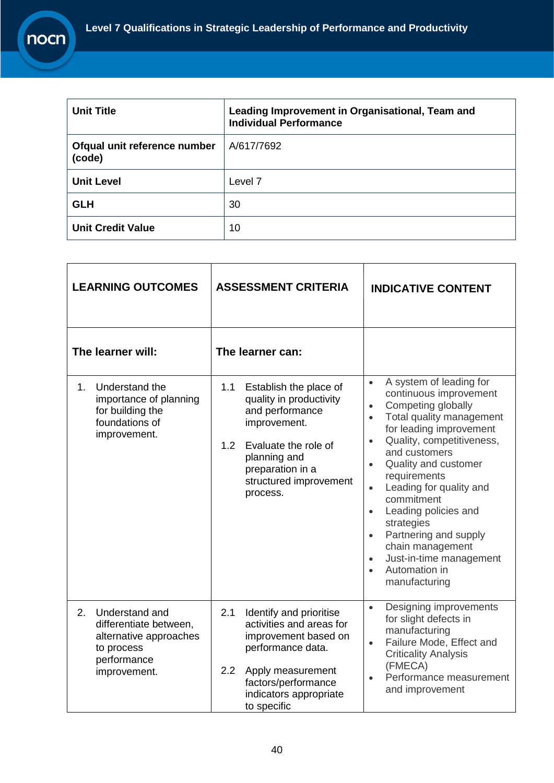| <b>Unit Title</b>                      | Leading Improvement in Organisational, Team and<br><b>Individual Performance</b> |
|----------------------------------------|----------------------------------------------------------------------------------|
| Ofqual unit reference number<br>(code) | A/617/7692                                                                       |
| <b>Unit Level</b>                      | Level <sub>7</sub>                                                               |
| <b>GLH</b>                             | 30                                                                               |
| <b>Unit Credit Value</b>               | 10                                                                               |

| <b>LEARNING OUTCOMES</b>                                                                                              | <b>ASSESSMENT CRITERIA</b>                                                                                                                                                                                       | <b>INDICATIVE CONTENT</b>                                                                                                                                                                                                                                                                                                                                                                                                                                                                                                                       |
|-----------------------------------------------------------------------------------------------------------------------|------------------------------------------------------------------------------------------------------------------------------------------------------------------------------------------------------------------|-------------------------------------------------------------------------------------------------------------------------------------------------------------------------------------------------------------------------------------------------------------------------------------------------------------------------------------------------------------------------------------------------------------------------------------------------------------------------------------------------------------------------------------------------|
| The learner will:                                                                                                     | The learner can:                                                                                                                                                                                                 |                                                                                                                                                                                                                                                                                                                                                                                                                                                                                                                                                 |
| 1 <sub>1</sub><br>Understand the<br>importance of planning<br>for building the<br>foundations of<br>improvement.      | 1.1<br>Establish the place of<br>quality in productivity<br>and performance<br>improvement.<br>1.2<br>Evaluate the role of<br>planning and<br>preparation in a<br>structured improvement<br>process.             | A system of leading for<br>$\bullet$<br>continuous improvement<br>Competing globally<br>$\bullet$<br>Total quality management<br>$\bullet$<br>for leading improvement<br>Quality, competitiveness,<br>$\bullet$<br>and customers<br>Quality and customer<br>$\bullet$<br>requirements<br>Leading for quality and<br>$\bullet$<br>commitment<br>Leading policies and<br>$\bullet$<br>strategies<br>Partnering and supply<br>$\bullet$<br>chain management<br>Just-in-time management<br>$\bullet$<br>Automation in<br>$\bullet$<br>manufacturing |
| 2.<br>Understand and<br>differentiate between,<br>alternative approaches<br>to process<br>performance<br>improvement. | Identify and prioritise<br>2.1<br>activities and areas for<br>improvement based on<br>performance data.<br>$2.2\phantom{0}$<br>Apply measurement<br>factors/performance<br>indicators appropriate<br>to specific | Designing improvements<br>$\bullet$<br>for slight defects in<br>manufacturing<br>Failure Mode, Effect and<br>$\bullet$<br><b>Criticality Analysis</b><br>(FMECA)<br>Performance measurement<br>$\bullet$<br>and improvement                                                                                                                                                                                                                                                                                                                     |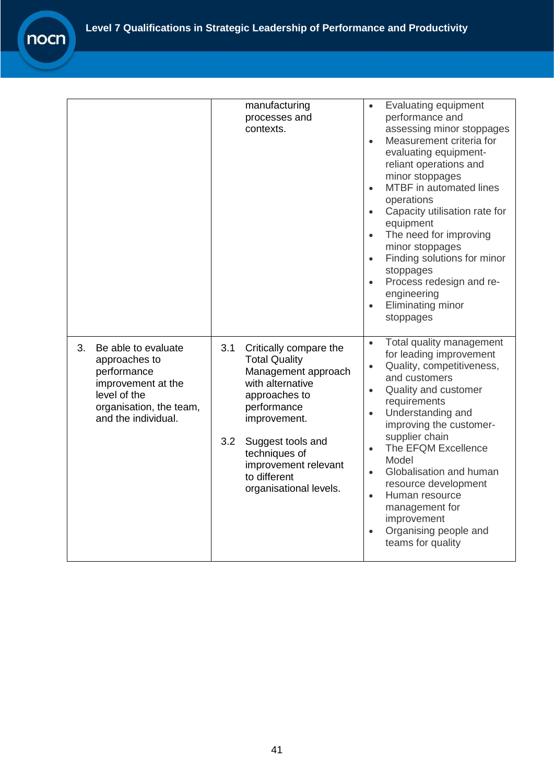|                                                                                                                                                   | manufacturing<br>processes and<br>contexts.                                                                                                                                                                                                                     | Evaluating equipment<br>$\bullet$<br>performance and<br>assessing minor stoppages<br>Measurement criteria for<br>$\bullet$<br>evaluating equipment-<br>reliant operations and<br>minor stoppages<br>MTBF in automated lines<br>$\bullet$<br>operations<br>Capacity utilisation rate for<br>$\bullet$<br>equipment<br>The need for improving<br>$\bullet$<br>minor stoppages<br>Finding solutions for minor<br>$\bullet$<br>stoppages<br>Process redesign and re-<br>$\bullet$<br>engineering<br>Eliminating minor<br>$\bullet$<br>stoppages |
|---------------------------------------------------------------------------------------------------------------------------------------------------|-----------------------------------------------------------------------------------------------------------------------------------------------------------------------------------------------------------------------------------------------------------------|---------------------------------------------------------------------------------------------------------------------------------------------------------------------------------------------------------------------------------------------------------------------------------------------------------------------------------------------------------------------------------------------------------------------------------------------------------------------------------------------------------------------------------------------|
| 3.<br>Be able to evaluate<br>approaches to<br>performance<br>improvement at the<br>level of the<br>organisation, the team,<br>and the individual. | 3.1<br>Critically compare the<br><b>Total Quality</b><br>Management approach<br>with alternative<br>approaches to<br>performance<br>improvement.<br>3.2<br>Suggest tools and<br>techniques of<br>improvement relevant<br>to different<br>organisational levels. | Total quality management<br>$\bullet$<br>for leading improvement<br>Quality, competitiveness,<br>$\bullet$<br>and customers<br>Quality and customer<br>$\bullet$<br>requirements<br>Understanding and<br>$\bullet$<br>improving the customer-<br>supplier chain<br>The EFQM Excellence<br>$\bullet$<br>Model<br>Globalisation and human<br>$\bullet$<br>resource development<br>Human resource<br>$\bullet$<br>management for<br>improvement<br>Organising people and<br>$\bullet$<br>teams for quality                                     |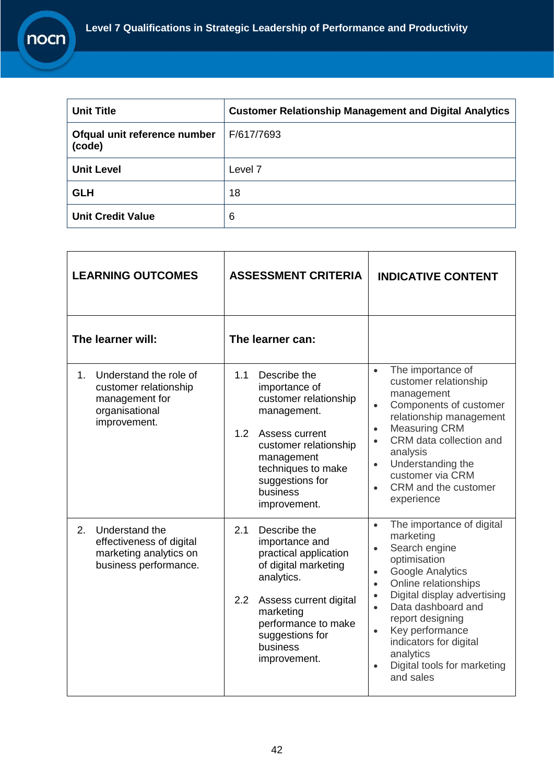| <b>Unit Title</b>                      | <b>Customer Relationship Management and Digital Analytics</b> |
|----------------------------------------|---------------------------------------------------------------|
| Ofqual unit reference number<br>(code) | F/617/7693                                                    |
| <b>Unit Level</b>                      | Level 7                                                       |
| <b>GLH</b>                             | 18                                                            |
| <b>Unit Credit Value</b>               | 6                                                             |

| <b>LEARNING OUTCOMES</b>                                                                                  | <b>ASSESSMENT CRITERIA</b>                                                                                                                                                                                                             | <b>INDICATIVE CONTENT</b>                                                                                                                                                                                                                                                                                                                                                                                         |
|-----------------------------------------------------------------------------------------------------------|----------------------------------------------------------------------------------------------------------------------------------------------------------------------------------------------------------------------------------------|-------------------------------------------------------------------------------------------------------------------------------------------------------------------------------------------------------------------------------------------------------------------------------------------------------------------------------------------------------------------------------------------------------------------|
| The learner will:                                                                                         | The learner can:                                                                                                                                                                                                                       |                                                                                                                                                                                                                                                                                                                                                                                                                   |
| Understand the role of<br>1.<br>customer relationship<br>management for<br>organisational<br>improvement. | 1.1<br>Describe the<br>importance of<br>customer relationship<br>management.<br>1.2<br>Assess current<br>customer relationship<br>management<br>techniques to make<br>suggestions for<br>business<br>improvement.                      | The importance of<br>$\bullet$<br>customer relationship<br>management<br>Components of customer<br>$\bullet$<br>relationship management<br><b>Measuring CRM</b><br>$\bullet$<br>CRM data collection and<br>$\bullet$<br>analysis<br>Understanding the<br>$\bullet$<br>customer via CRM<br>CRM and the customer<br>experience                                                                                      |
| Understand the<br>2.<br>effectiveness of digital<br>marketing analytics on<br>business performance.       | 2.1<br>Describe the<br>importance and<br>practical application<br>of digital marketing<br>analytics.<br>$2.2\overline{ }$<br>Assess current digital<br>marketing<br>performance to make<br>suggestions for<br>business<br>improvement. | The importance of digital<br>$\bullet$<br>marketing<br>Search engine<br>$\bullet$<br>optimisation<br><b>Google Analytics</b><br>$\bullet$<br>Online relationships<br>$\bullet$<br>Digital display advertising<br>$\bullet$<br>Data dashboard and<br>$\bullet$<br>report designing<br>Key performance<br>$\bullet$<br>indicators for digital<br>analytics<br>Digital tools for marketing<br>$\bullet$<br>and sales |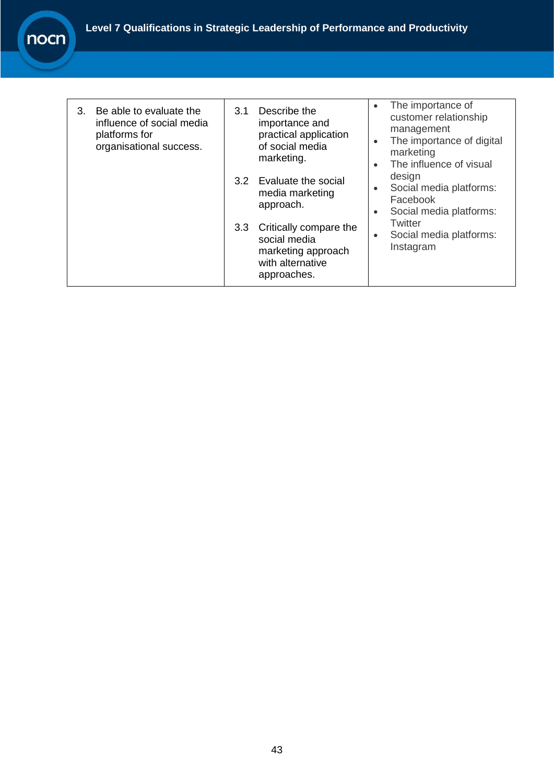